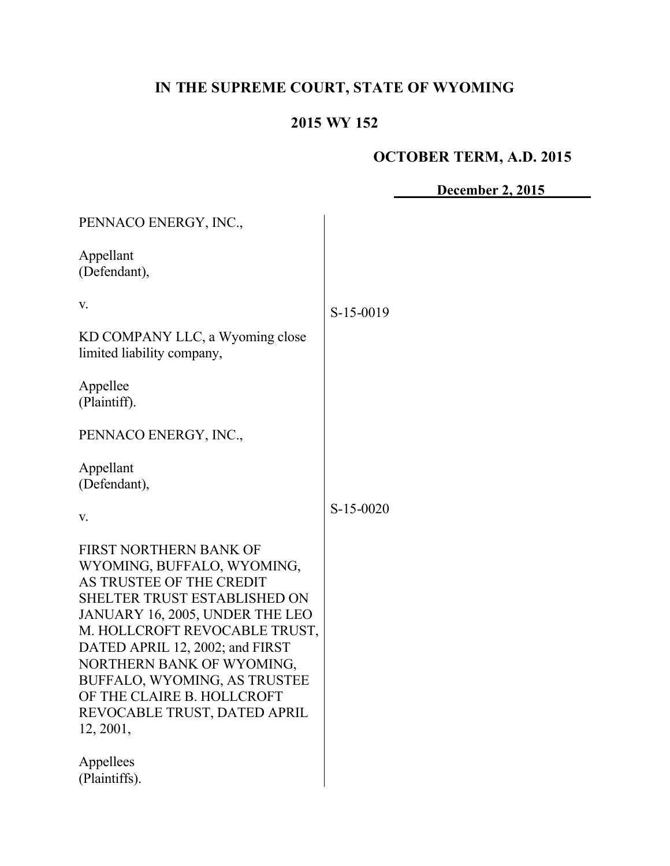# **IN THE SUPREME COURT, STATE OF WYOMING**

# **2015 WY 152**

# **OCTOBER TERM, A.D. 2015**

**December 2, 2015**

| PENNACO ENERGY, INC.,                                                                                                                                                                                                                                                                                                                                                  |             |
|------------------------------------------------------------------------------------------------------------------------------------------------------------------------------------------------------------------------------------------------------------------------------------------------------------------------------------------------------------------------|-------------|
| Appellant<br>(Defendant),                                                                                                                                                                                                                                                                                                                                              |             |
| V.                                                                                                                                                                                                                                                                                                                                                                     | S-15-0019   |
| KD COMPANY LLC, a Wyoming close<br>limited liability company,                                                                                                                                                                                                                                                                                                          |             |
| Appellee<br>(Plaintiff).                                                                                                                                                                                                                                                                                                                                               |             |
| PENNACO ENERGY, INC.,                                                                                                                                                                                                                                                                                                                                                  |             |
| Appellant<br>(Defendant),                                                                                                                                                                                                                                                                                                                                              |             |
| V.                                                                                                                                                                                                                                                                                                                                                                     | $S-15-0020$ |
| FIRST NORTHERN BANK OF<br>WYOMING, BUFFALO, WYOMING,<br>AS TRUSTEE OF THE CREDIT<br><b>SHELTER TRUST ESTABLISHED ON</b><br>JANUARY 16, 2005, UNDER THE LEO<br>M. HOLLCROFT REVOCABLE TRUST,<br>DATED APRIL 12, 2002; and FIRST<br>NORTHERN BANK OF WYOMING,<br>BUFFALO, WYOMING, AS TRUSTEE<br>OF THE CLAIRE B. HOLLCROFT<br>REVOCABLE TRUST, DATED APRIL<br>12, 2001, |             |
| Appellees<br>(Plaintiffs).                                                                                                                                                                                                                                                                                                                                             |             |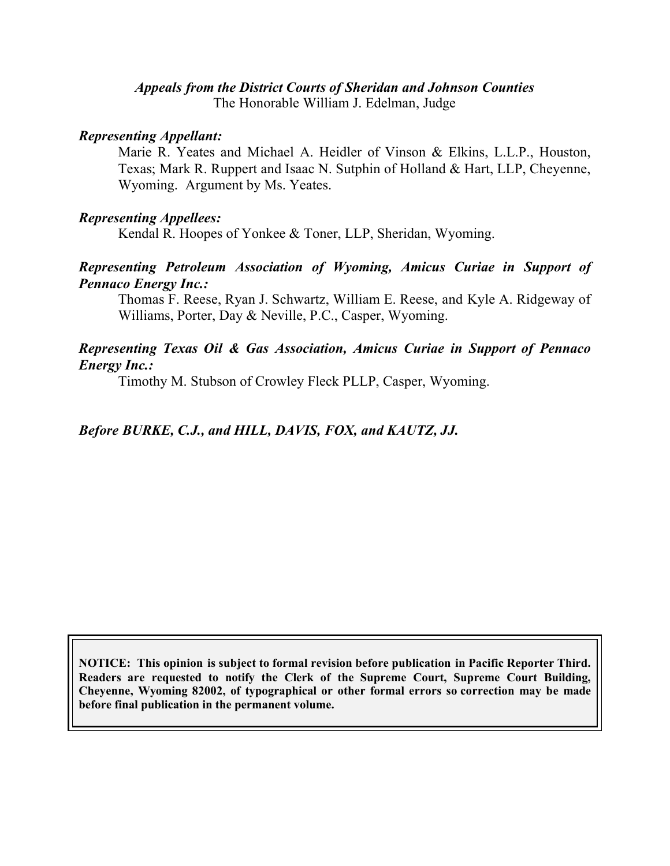# *Appeals from the District Courts of Sheridan and Johnson Counties*

The Honorable William J. Edelman, Judge

#### *Representing Appellant:*

Marie R. Yeates and Michael A. Heidler of Vinson & Elkins, L.L.P., Houston, Texas; Mark R. Ruppert and Isaac N. Sutphin of Holland & Hart, LLP, Cheyenne, Wyoming. Argument by Ms. Yeates.

#### *Representing Appellees:*

Kendal R. Hoopes of Yonkee & Toner, LLP, Sheridan, Wyoming.

#### *Representing Petroleum Association of Wyoming, Amicus Curiae in Support of Pennaco Energy Inc.:*

Thomas F. Reese, Ryan J. Schwartz, William E. Reese, and Kyle A. Ridgeway of Williams, Porter, Day & Neville, P.C., Casper, Wyoming.

#### *Representing Texas Oil & Gas Association, Amicus Curiae in Support of Pennaco Energy Inc.:*

Timothy M. Stubson of Crowley Fleck PLLP, Casper, Wyoming.

### *Before BURKE, C.J., and HILL, DAVIS, FOX, and KAUTZ, JJ.*

**NOTICE: This opinion is subject to formal revision before publication in Pacific Reporter Third. Readers are requested to notify the Clerk of the Supreme Court, Supreme Court Building, Cheyenne, Wyoming 82002, of typographical or other formal errors so correction may be made before final publication in the permanent volume.**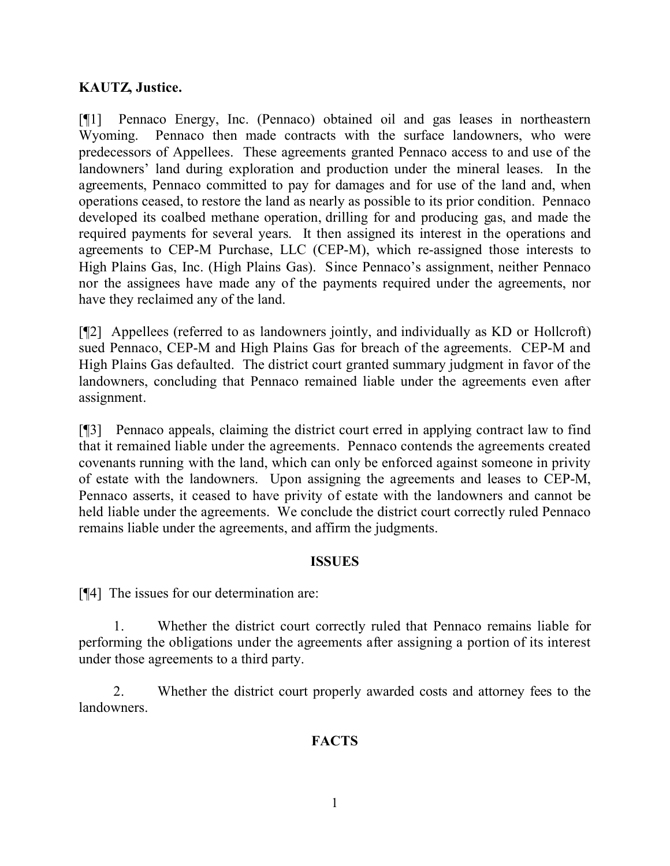#### **KAUTZ, Justice.**

[¶1] Pennaco Energy, Inc. (Pennaco) obtained oil and gas leases in northeastern Wyoming. Pennaco then made contracts with the surface landowners, who were predecessors of Appellees. These agreements granted Pennaco access to and use of the landowners' land during exploration and production under the mineral leases. In the agreements, Pennaco committed to pay for damages and for use of the land and, when operations ceased, to restore the land as nearly as possible to its prior condition. Pennaco developed its coalbed methane operation, drilling for and producing gas, and made the required payments for several years. It then assigned its interest in the operations and agreements to CEP-M Purchase, LLC (CEP-M), which re-assigned those interests to High Plains Gas, Inc. (High Plains Gas). Since Pennaco's assignment, neither Pennaco nor the assignees have made any of the payments required under the agreements, nor have they reclaimed any of the land.

[¶2] Appellees (referred to as landowners jointly, and individually as KD or Hollcroft) sued Pennaco, CEP-M and High Plains Gas for breach of the agreements. CEP-M and High Plains Gas defaulted. The district court granted summary judgment in favor of the landowners, concluding that Pennaco remained liable under the agreements even after assignment.

[¶3] Pennaco appeals, claiming the district court erred in applying contract law to find that it remained liable under the agreements. Pennaco contends the agreements created covenants running with the land, which can only be enforced against someone in privity of estate with the landowners. Upon assigning the agreements and leases to CEP-M, Pennaco asserts, it ceased to have privity of estate with the landowners and cannot be held liable under the agreements. We conclude the district court correctly ruled Pennaco remains liable under the agreements, and affirm the judgments.

#### **ISSUES**

[¶4] The issues for our determination are:

1. Whether the district court correctly ruled that Pennaco remains liable for performing the obligations under the agreements after assigning a portion of its interest under those agreements to a third party.

2. Whether the district court properly awarded costs and attorney fees to the **landowners** 

#### **FACTS**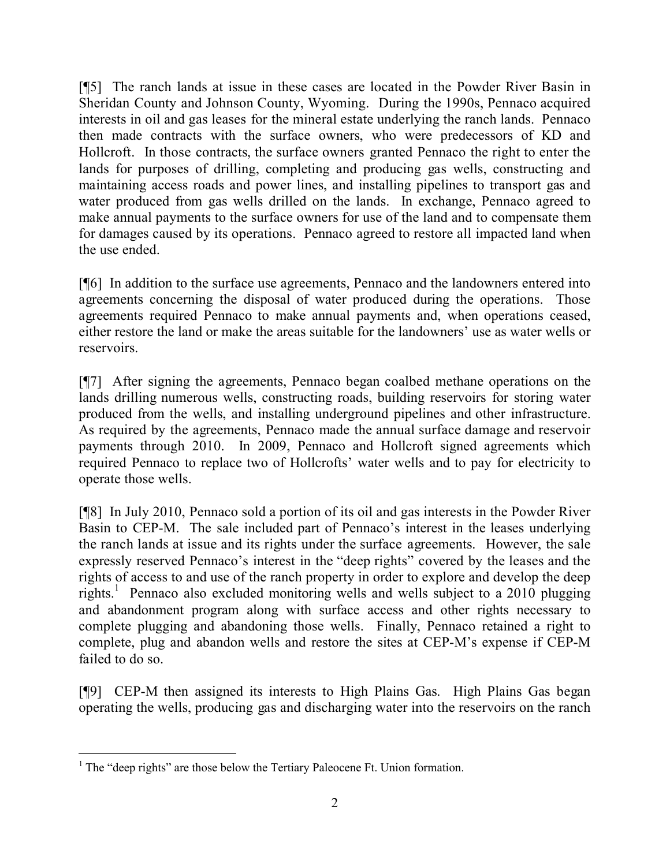[¶5] The ranch lands at issue in these cases are located in the Powder River Basin in Sheridan County and Johnson County, Wyoming. During the 1990s, Pennaco acquired interests in oil and gas leases for the mineral estate underlying the ranch lands. Pennaco then made contracts with the surface owners, who were predecessors of KD and Hollcroft. In those contracts, the surface owners granted Pennaco the right to enter the lands for purposes of drilling, completing and producing gas wells, constructing and maintaining access roads and power lines, and installing pipelines to transport gas and water produced from gas wells drilled on the lands. In exchange, Pennaco agreed to make annual payments to the surface owners for use of the land and to compensate them for damages caused by its operations. Pennaco agreed to restore all impacted land when the use ended.

[¶6] In addition to the surface use agreements, Pennaco and the landowners entered into agreements concerning the disposal of water produced during the operations. Those agreements required Pennaco to make annual payments and, when operations ceased, either restore the land or make the areas suitable for the landowners' use as water wells or reservoirs.

[¶7] After signing the agreements, Pennaco began coalbed methane operations on the lands drilling numerous wells, constructing roads, building reservoirs for storing water produced from the wells, and installing underground pipelines and other infrastructure. As required by the agreements, Pennaco made the annual surface damage and reservoir payments through 2010. In 2009, Pennaco and Hollcroft signed agreements which required Pennaco to replace two of Hollcrofts' water wells and to pay for electricity to operate those wells.

[¶8] In July 2010, Pennaco sold a portion of its oil and gas interests in the Powder River Basin to CEP-M. The sale included part of Pennaco's interest in the leases underlying the ranch lands at issue and its rights under the surface agreements. However, the sale expressly reserved Pennaco's interest in the "deep rights" covered by the leases and the rights of access to and use of the ranch property in order to explore and develop the deep rights.<sup>1</sup> Pennaco also excluded monitoring wells and wells subject to a 2010 plugging and abandonment program along with surface access and other rights necessary to complete plugging and abandoning those wells. Finally, Pennaco retained a right to complete, plug and abandon wells and restore the sites at CEP-M's expense if CEP-M failed to do so.

[¶9] CEP-M then assigned its interests to High Plains Gas. High Plains Gas began operating the wells, producing gas and discharging water into the reservoirs on the ranch

  $<sup>1</sup>$  The "deep rights" are those below the Tertiary Paleocene Ft. Union formation.</sup>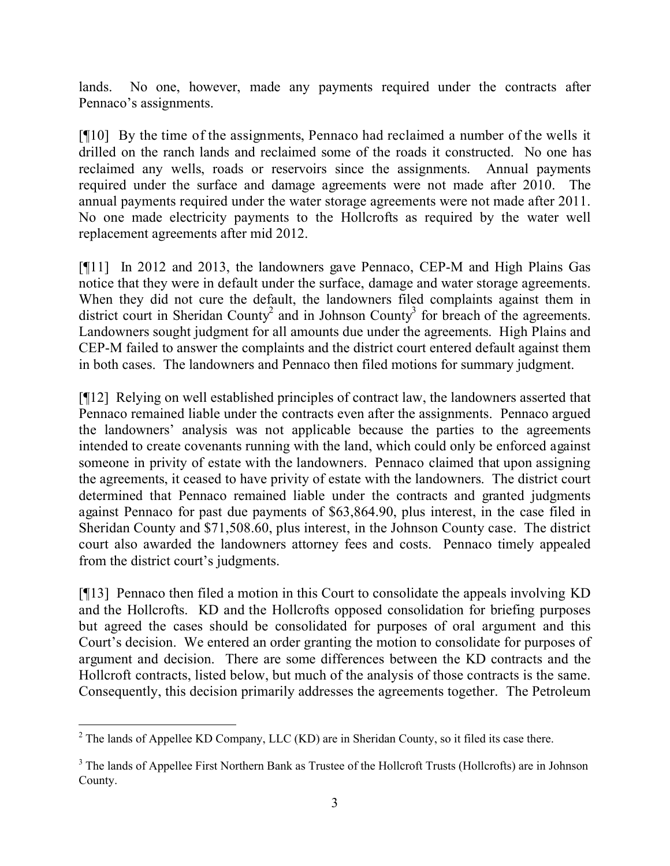lands. No one, however, made any payments required under the contracts after Pennaco's assignments.

[¶10] By the time of the assignments, Pennaco had reclaimed a number of the wells it drilled on the ranch lands and reclaimed some of the roads it constructed. No one has reclaimed any wells, roads or reservoirs since the assignments. Annual payments required under the surface and damage agreements were not made after 2010. The annual payments required under the water storage agreements were not made after 2011. No one made electricity payments to the Hollcrofts as required by the water well replacement agreements after mid 2012.

[¶11] In 2012 and 2013, the landowners gave Pennaco, CEP-M and High Plains Gas notice that they were in default under the surface, damage and water storage agreements. When they did not cure the default, the landowners filed complaints against them in district court in Sheridan County<sup>2</sup> and in Johnson County<sup>3</sup> for breach of the agreements. Landowners sought judgment for all amounts due under the agreements. High Plains and CEP-M failed to answer the complaints and the district court entered default against them in both cases. The landowners and Pennaco then filed motions for summary judgment.

[¶12] Relying on well established principles of contract law, the landowners asserted that Pennaco remained liable under the contracts even after the assignments. Pennaco argued the landowners' analysis was not applicable because the parties to the agreements intended to create covenants running with the land, which could only be enforced against someone in privity of estate with the landowners. Pennaco claimed that upon assigning the agreements, it ceased to have privity of estate with the landowners. The district court determined that Pennaco remained liable under the contracts and granted judgments against Pennaco for past due payments of \$63,864.90, plus interest, in the case filed in Sheridan County and \$71,508.60, plus interest, in the Johnson County case. The district court also awarded the landowners attorney fees and costs. Pennaco timely appealed from the district court's judgments.

[¶13] Pennaco then filed a motion in this Court to consolidate the appeals involving KD and the Hollcrofts. KD and the Hollcrofts opposed consolidation for briefing purposes but agreed the cases should be consolidated for purposes of oral argument and this Court's decision. We entered an order granting the motion to consolidate for purposes of argument and decision. There are some differences between the KD contracts and the Hollcroft contracts, listed below, but much of the analysis of those contracts is the same. Consequently, this decision primarily addresses the agreements together. The Petroleum

 $\overline{a}$  $2$  The lands of Appellee KD Company, LLC (KD) are in Sheridan County, so it filed its case there.

<sup>&</sup>lt;sup>3</sup> The lands of Appellee First Northern Bank as Trustee of the Hollcroft Trusts (Hollcrofts) are in Johnson County.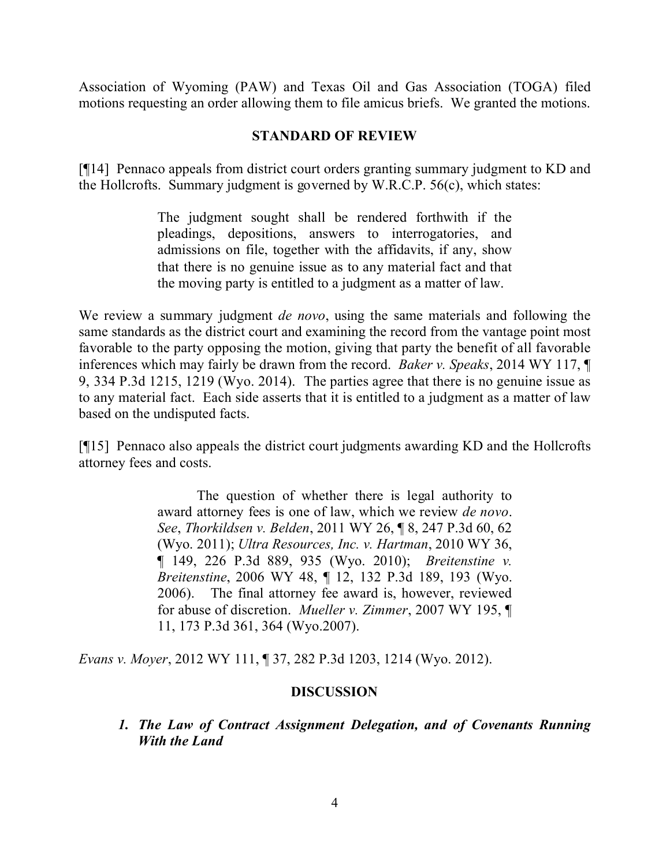Association of Wyoming (PAW) and Texas Oil and Gas Association (TOGA) filed motions requesting an order allowing them to file amicus briefs. We granted the motions.

#### **STANDARD OF REVIEW**

[¶14] Pennaco appeals from district court orders granting summary judgment to KD and the Hollcrofts. Summary judgment is governed by W.R.C.P. 56(c), which states:

> The judgment sought shall be rendered forthwith if the pleadings, depositions, answers to interrogatories, and admissions on file, together with the affidavits, if any, show that there is no genuine issue as to any material fact and that the moving party is entitled to a judgment as a matter of law.

We review a summary judgment *de novo*, using the same materials and following the same standards as the district court and examining the record from the vantage point most favorable to the party opposing the motion, giving that party the benefit of all favorable inferences which may fairly be drawn from the record. *Baker v. Speaks*, 2014 WY 117, ¶ 9, 334 P.3d 1215, 1219 (Wyo. 2014). The parties agree that there is no genuine issue as to any material fact. Each side asserts that it is entitled to a judgment as a matter of law based on the undisputed facts.

[¶15] Pennaco also appeals the district court judgments awarding KD and the Hollcrofts attorney fees and costs.

> The question of whether there is legal authority to award attorney fees is one of law, which we review *de novo*. *See*, *Thorkildsen v. Belden*, 2011 WY 26, ¶ 8, 247 P.3d 60, 62 (Wyo. 2011); *Ultra Resources, Inc. v. Hartman*, 2010 WY 36, ¶ 149, 226 P.3d 889, 935 (Wyo. 2010); *Breitenstine v. Breitenstine*, 2006 WY 48, ¶ 12, 132 P.3d 189, 193 (Wyo. 2006). The final attorney fee award is, however, reviewed for abuse of discretion. *Mueller v. Zimmer*, 2007 WY 195, ¶ 11, 173 P.3d 361, 364 (Wyo.2007).

*Evans v. Moyer*, 2012 WY 111, ¶ 37, 282 P.3d 1203, 1214 (Wyo. 2012).

#### **DISCUSSION**

*1. The Law of Contract Assignment Delegation, and of Covenants Running With the Land*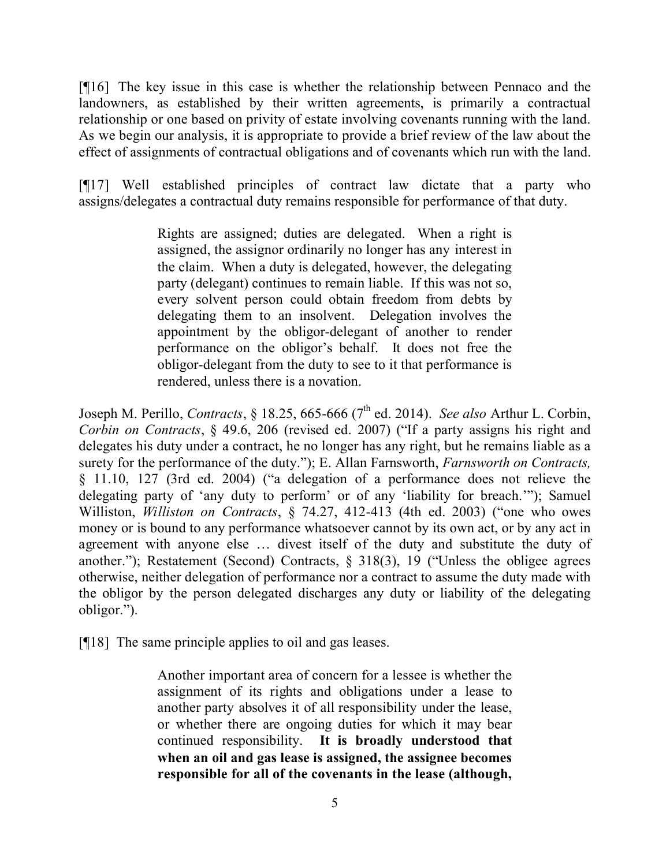[¶16] The key issue in this case is whether the relationship between Pennaco and the landowners, as established by their written agreements, is primarily a contractual relationship or one based on privity of estate involving covenants running with the land. As we begin our analysis, it is appropriate to provide a brief review of the law about the effect of assignments of contractual obligations and of covenants which run with the land.

[¶17] Well established principles of contract law dictate that a party who assigns/delegates a contractual duty remains responsible for performance of that duty.

> Rights are assigned; duties are delegated. When a right is assigned, the assignor ordinarily no longer has any interest in the claim. When a duty is delegated, however, the delegating party (delegant) continues to remain liable. If this was not so, every solvent person could obtain freedom from debts by delegating them to an insolvent. Delegation involves the appointment by the obligor-delegant of another to render performance on the obligor's behalf. It does not free the obligor-delegant from the duty to see to it that performance is rendered, unless there is a novation.

Joseph M. Perillo, *Contracts*, § 18.25, 665-666 (7<sup>th</sup> ed. 2014). *See also* Arthur L. Corbin, *Corbin on Contracts*, § 49.6, 206 (revised ed. 2007) ("If a party assigns his right and delegates his duty under a contract, he no longer has any right, but he remains liable as a surety for the performance of the duty."); E. Allan Farnsworth, *Farnsworth on Contracts,* § 11.10, 127 (3rd ed. 2004) ("a delegation of a performance does not relieve the delegating party of 'any duty to perform' or of any 'liability for breach.'"); Samuel Williston, *Williston on Contracts*, § 74.27, 412-413 (4th ed. 2003) ("one who owes money or is bound to any performance whatsoever cannot by its own act, or by any act in agreement with anyone else … divest itself of the duty and substitute the duty of another."); Restatement (Second) Contracts, § 318(3), 19 ("Unless the obligee agrees otherwise, neither delegation of performance nor a contract to assume the duty made with the obligor by the person delegated discharges any duty or liability of the delegating obligor.").

[¶18] The same principle applies to oil and gas leases.

Another important area of concern for a lessee is whether the assignment of its rights and obligations under a lease to another party absolves it of all responsibility under the lease, or whether there are ongoing duties for which it may bear continued responsibility. **It is broadly understood that when an oil and gas lease is assigned, the assignee becomes responsible for all of the covenants in the lease (although,**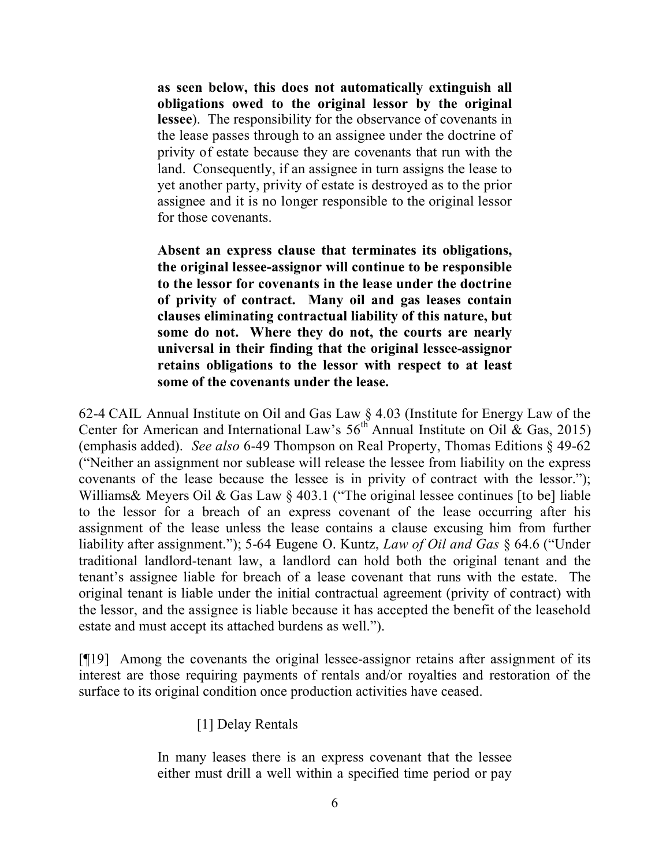**as seen below, this does not automatically extinguish all obligations owed to the original lessor by the original lessee**). The responsibility for the observance of covenants in the lease passes through to an assignee under the doctrine of privity of estate because they are covenants that run with the land. Consequently, if an assignee in turn assigns the lease to yet another party, privity of estate is destroyed as to the prior assignee and it is no longer responsible to the original lessor for those covenants.

**Absent an express clause that terminates its obligations, the original lessee-assignor will continue to be responsible to the lessor for covenants in the lease under the doctrine of privity of contract. Many oil and gas leases contain clauses eliminating contractual liability of this nature, but some do not. Where they do not, the courts are nearly universal in their finding that the original lessee-assignor retains obligations to the lessor with respect to at least some of the covenants under the lease.**

62-4 CAIL Annual Institute on Oil and Gas Law § 4.03 (Institute for Energy Law of the Center for American and International Law's  $56^{th}$  Annual Institute on Oil & Gas, 2015) (emphasis added). *See also* 6-49 Thompson on Real Property, Thomas Editions § 49-62 ("Neither an assignment nor sublease will release the lessee from liability on the express covenants of the lease because the lessee is in privity of contract with the lessor."); Williams& Meyers Oil & Gas Law § 403.1 ("The original lessee continues [to be] liable to the lessor for a breach of an express covenant of the lease occurring after his assignment of the lease unless the lease contains a clause excusing him from further liability after assignment."); 5-64 Eugene O. Kuntz, *Law of Oil and Gas* § 64.6 ("Under traditional landlord-tenant law, a landlord can hold both the original tenant and the tenant's assignee liable for breach of a lease covenant that runs with the estate. The original tenant is liable under the initial contractual agreement (privity of contract) with the lessor, and the assignee is liable because it has accepted the benefit of the leasehold estate and must accept its attached burdens as well.").

[¶19] Among the covenants the original lessee-assignor retains after assignment of its interest are those requiring payments of rentals and/or royalties and restoration of the surface to its original condition once production activities have ceased.

[1] Delay Rentals

In many leases there is an express covenant that the lessee either must drill a well within a specified time period or pay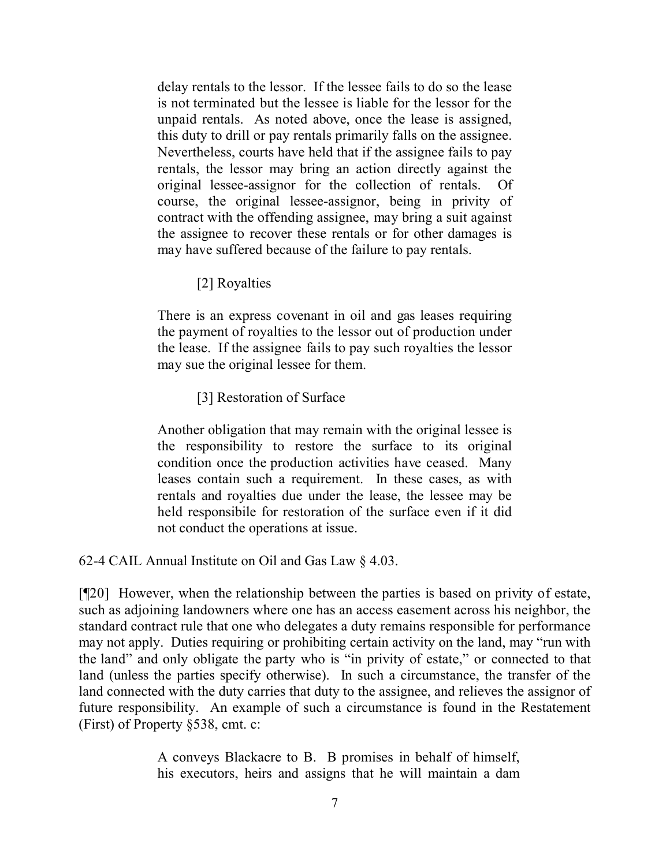delay rentals to the lessor. If the lessee fails to do so the lease is not terminated but the lessee is liable for the lessor for the unpaid rentals. As noted above, once the lease is assigned, this duty to drill or pay rentals primarily falls on the assignee. Nevertheless, courts have held that if the assignee fails to pay rentals, the lessor may bring an action directly against the original lessee-assignor for the collection of rentals. Of course, the original lessee-assignor, being in privity of contract with the offending assignee, may bring a suit against the assignee to recover these rentals or for other damages is may have suffered because of the failure to pay rentals.

[2] Royalties

There is an express covenant in oil and gas leases requiring the payment of royalties to the lessor out of production under the lease. If the assignee fails to pay such royalties the lessor may sue the original lessee for them.

[3] Restoration of Surface

Another obligation that may remain with the original lessee is the responsibility to restore the surface to its original condition once the production activities have ceased. Many leases contain such a requirement. In these cases, as with rentals and royalties due under the lease, the lessee may be held responsibile for restoration of the surface even if it did not conduct the operations at issue.

62-4 CAIL Annual Institute on Oil and Gas Law § 4.03.

[¶20] However, when the relationship between the parties is based on privity of estate, such as adjoining landowners where one has an access easement across his neighbor, the standard contract rule that one who delegates a duty remains responsible for performance may not apply. Duties requiring or prohibiting certain activity on the land, may "run with the land" and only obligate the party who is "in privity of estate," or connected to that land (unless the parties specify otherwise). In such a circumstance, the transfer of the land connected with the duty carries that duty to the assignee, and relieves the assignor of future responsibility. An example of such a circumstance is found in the Restatement (First) of Property §538, cmt. c:

> A conveys Blackacre to B. B promises in behalf of himself, his executors, heirs and assigns that he will maintain a dam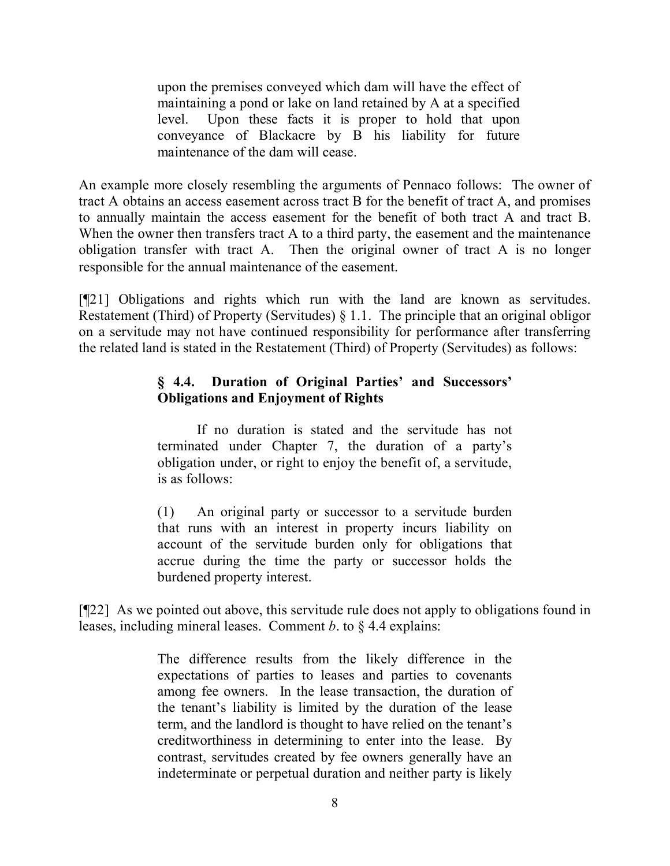upon the premises conveyed which dam will have the effect of maintaining a pond or lake on land retained by A at a specified level. Upon these facts it is proper to hold that upon conveyance of Blackacre by B his liability for future maintenance of the dam will cease.

An example more closely resembling the arguments of Pennaco follows: The owner of tract A obtains an access easement across tract B for the benefit of tract A, and promises to annually maintain the access easement for the benefit of both tract A and tract B. When the owner then transfers tract A to a third party, the easement and the maintenance obligation transfer with tract A. Then the original owner of tract A is no longer responsible for the annual maintenance of the easement.

[¶21] Obligations and rights which run with the land are known as servitudes. Restatement (Third) of Property (Servitudes) § 1.1. The principle that an original obligor on a servitude may not have continued responsibility for performance after transferring the related land is stated in the Restatement (Third) of Property (Servitudes) as follows:

#### **§ 4.4. Duration of Original Parties' and Successors' Obligations and Enjoyment of Rights**

If no duration is stated and the servitude has not terminated under Chapter 7, the duration of a party's obligation under, or right to enjoy the benefit of, a servitude, is as follows:

(1) An original party or successor to a servitude burden that runs with an interest in property incurs liability on account of the servitude burden only for obligations that accrue during the time the party or successor holds the burdened property interest.

[¶22] As we pointed out above, this servitude rule does not apply to obligations found in leases, including mineral leases. Comment *b*. to § 4.4 explains:

> The difference results from the likely difference in the expectations of parties to leases and parties to covenants among fee owners. In the lease transaction, the duration of the tenant's liability is limited by the duration of the lease term, and the landlord is thought to have relied on the tenant's creditworthiness in determining to enter into the lease. By contrast, servitudes created by fee owners generally have an indeterminate or perpetual duration and neither party is likely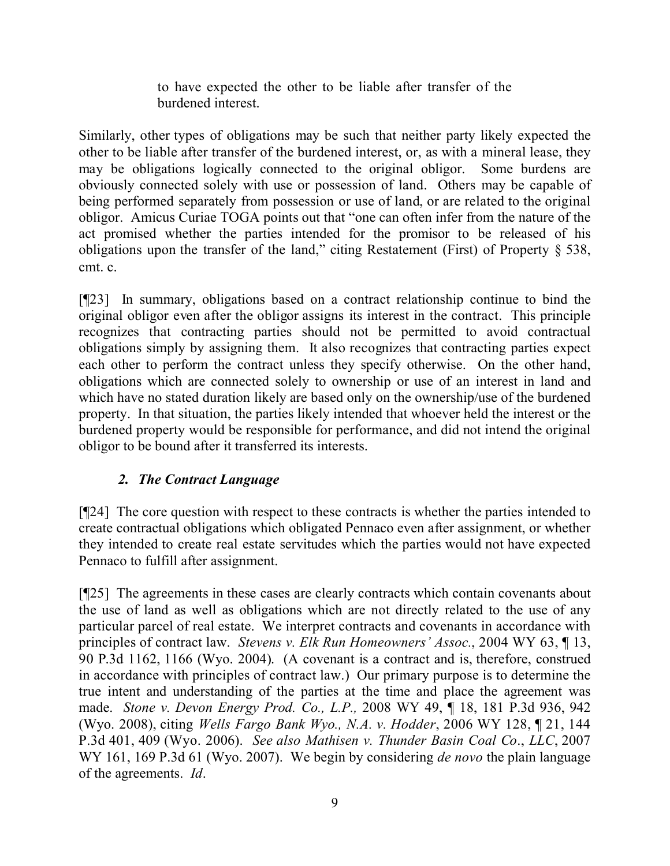to have expected the other to be liable after transfer of the burdened interest.

Similarly, other types of obligations may be such that neither party likely expected the other to be liable after transfer of the burdened interest, or, as with a mineral lease, they may be obligations logically connected to the original obligor. Some burdens are obviously connected solely with use or possession of land. Others may be capable of being performed separately from possession or use of land, or are related to the original obligor. Amicus Curiae TOGA points out that "one can often infer from the nature of the act promised whether the parties intended for the promisor to be released of his obligations upon the transfer of the land," citing Restatement (First) of Property § 538, cmt. c.

[¶23] In summary, obligations based on a contract relationship continue to bind the original obligor even after the obligor assigns its interest in the contract. This principle recognizes that contracting parties should not be permitted to avoid contractual obligations simply by assigning them. It also recognizes that contracting parties expect each other to perform the contract unless they specify otherwise. On the other hand, obligations which are connected solely to ownership or use of an interest in land and which have no stated duration likely are based only on the ownership/use of the burdened property. In that situation, the parties likely intended that whoever held the interest or the burdened property would be responsible for performance, and did not intend the original obligor to be bound after it transferred its interests.

## *2. The Contract Language*

[¶24] The core question with respect to these contracts is whether the parties intended to create contractual obligations which obligated Pennaco even after assignment, or whether they intended to create real estate servitudes which the parties would not have expected Pennaco to fulfill after assignment.

[¶25] The agreements in these cases are clearly contracts which contain covenants about the use of land as well as obligations which are not directly related to the use of any particular parcel of real estate. We interpret contracts and covenants in accordance with principles of contract law. *Stevens v. Elk Run Homeowners' Assoc.*, 2004 WY 63, ¶ 13, 90 P.3d 1162, 1166 (Wyo. 2004). (A covenant is a contract and is, therefore, construed in accordance with principles of contract law.) Our primary purpose is to determine the true intent and understanding of the parties at the time and place the agreement was made. *Stone v. Devon Energy Prod. Co., L.P.,* 2008 WY 49, ¶ 18, 181 P.3d 936, 942 (Wyo. 2008), citing *Wells Fargo Bank Wyo., N.A. v. Hodder*, 2006 WY 128, ¶ 21, 144 P.3d 401, 409 (Wyo. 2006). *See also Mathisen v. Thunder Basin Coal Co*., *LLC*, 2007 WY 161, 169 P.3d 61 (Wyo. 2007). We begin by considering *de novo* the plain language of the agreements. *Id*.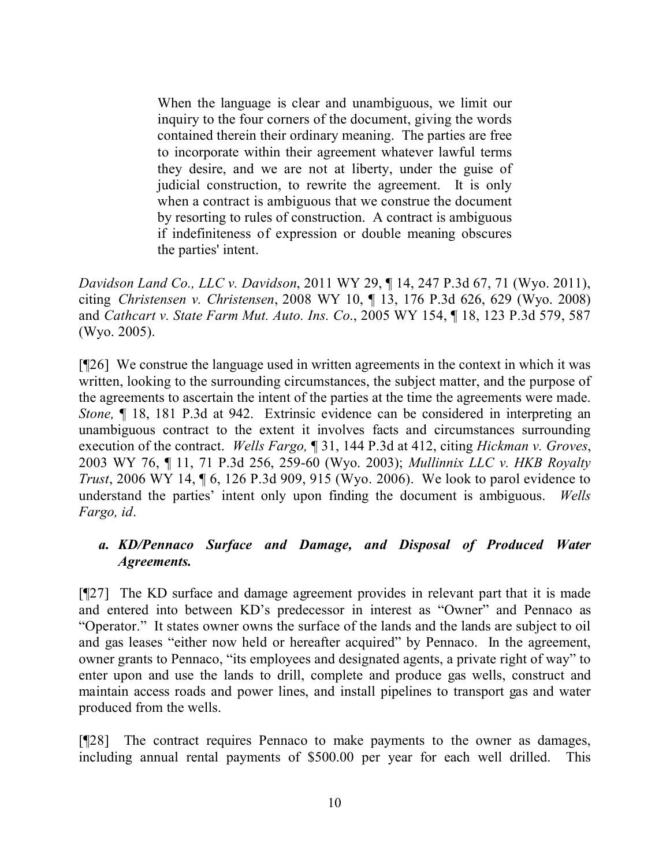When the language is clear and unambiguous, we limit our inquiry to the four corners of the document, giving the words contained therein their ordinary meaning. The parties are free to incorporate within their agreement whatever lawful terms they desire, and we are not at liberty, under the guise of judicial construction, to rewrite the agreement. It is only when a contract is ambiguous that we construe the document by resorting to rules of construction. A contract is ambiguous if indefiniteness of expression or double meaning obscures the parties' intent.

*Davidson Land Co., LLC v. Davidson*, 2011 WY 29, ¶ 14, 247 P.3d 67, 71 (Wyo. 2011), citing *Christensen v. Christensen*, 2008 WY 10, ¶ 13, 176 P.3d 626, 629 (Wyo. 2008) and *Cathcart v. State Farm Mut. Auto. Ins. Co*., 2005 WY 154, ¶ 18, 123 P.3d 579, 587 (Wyo. 2005).

[¶26] We construe the language used in written agreements in the context in which it was written, looking to the surrounding circumstances, the subject matter, and the purpose of the agreements to ascertain the intent of the parties at the time the agreements were made. *Stone,* ¶ 18, 181 P.3d at 942. Extrinsic evidence can be considered in interpreting an unambiguous contract to the extent it involves facts and circumstances surrounding execution of the contract. *Wells Fargo,* ¶ 31, 144 P.3d at 412, citing *Hickman v. Groves*, 2003 WY 76, ¶ 11, 71 P.3d 256, 259-60 (Wyo. 2003); *Mullinnix LLC v. HKB Royalty Trust*, 2006 WY 14, ¶ 6, 126 P.3d 909, 915 (Wyo. 2006). We look to parol evidence to understand the parties' intent only upon finding the document is ambiguous. *Wells Fargo, id*.

### *a. KD/Pennaco Surface and Damage, and Disposal of Produced Water Agreements.*

[¶27] The KD surface and damage agreement provides in relevant part that it is made and entered into between KD's predecessor in interest as "Owner" and Pennaco as "Operator." It states owner owns the surface of the lands and the lands are subject to oil and gas leases "either now held or hereafter acquired" by Pennaco. In the agreement, owner grants to Pennaco, "its employees and designated agents, a private right of way" to enter upon and use the lands to drill, complete and produce gas wells, construct and maintain access roads and power lines, and install pipelines to transport gas and water produced from the wells.

[¶28] The contract requires Pennaco to make payments to the owner as damages, including annual rental payments of \$500.00 per year for each well drilled. This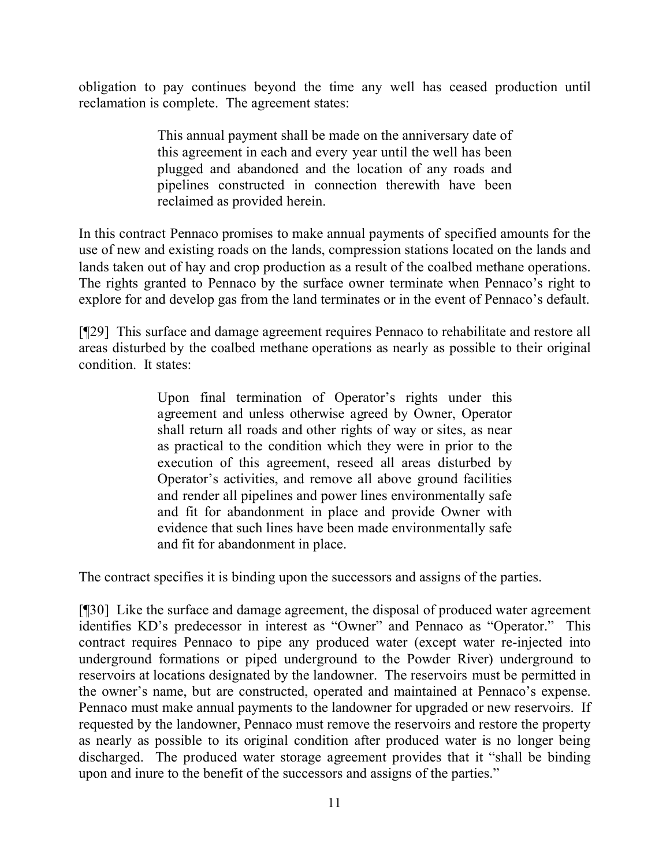obligation to pay continues beyond the time any well has ceased production until reclamation is complete. The agreement states:

> This annual payment shall be made on the anniversary date of this agreement in each and every year until the well has been plugged and abandoned and the location of any roads and pipelines constructed in connection therewith have been reclaimed as provided herein.

In this contract Pennaco promises to make annual payments of specified amounts for the use of new and existing roads on the lands, compression stations located on the lands and lands taken out of hay and crop production as a result of the coalbed methane operations. The rights granted to Pennaco by the surface owner terminate when Pennaco's right to explore for and develop gas from the land terminates or in the event of Pennaco's default.

[¶29] This surface and damage agreement requires Pennaco to rehabilitate and restore all areas disturbed by the coalbed methane operations as nearly as possible to their original condition. It states:

> Upon final termination of Operator's rights under this agreement and unless otherwise agreed by Owner, Operator shall return all roads and other rights of way or sites, as near as practical to the condition which they were in prior to the execution of this agreement, reseed all areas disturbed by Operator's activities, and remove all above ground facilities and render all pipelines and power lines environmentally safe and fit for abandonment in place and provide Owner with evidence that such lines have been made environmentally safe and fit for abandonment in place.

The contract specifies it is binding upon the successors and assigns of the parties.

[¶30] Like the surface and damage agreement, the disposal of produced water agreement identifies KD's predecessor in interest as "Owner" and Pennaco as "Operator." This contract requires Pennaco to pipe any produced water (except water re-injected into underground formations or piped underground to the Powder River) underground to reservoirs at locations designated by the landowner. The reservoirs must be permitted in the owner's name, but are constructed, operated and maintained at Pennaco's expense. Pennaco must make annual payments to the landowner for upgraded or new reservoirs. If requested by the landowner, Pennaco must remove the reservoirs and restore the property as nearly as possible to its original condition after produced water is no longer being discharged. The produced water storage agreement provides that it "shall be binding upon and inure to the benefit of the successors and assigns of the parties."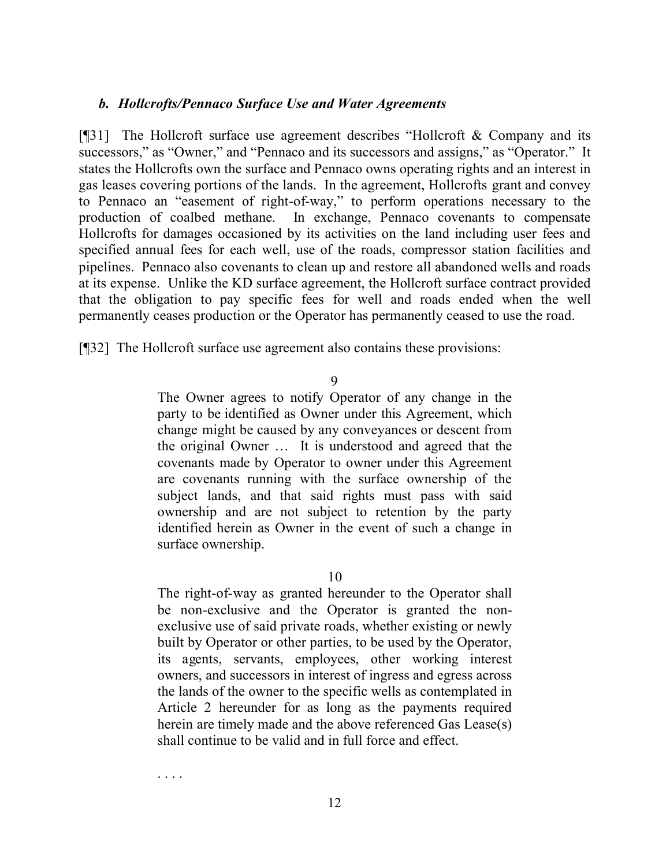#### *b. Hollcrofts/Pennaco Surface Use and Water Agreements*

[¶31] The Hollcroft surface use agreement describes "Hollcroft & Company and its successors," as "Owner," and "Pennaco and its successors and assigns," as "Operator." It states the Hollcrofts own the surface and Pennaco owns operating rights and an interest in gas leases covering portions of the lands. In the agreement, Hollcrofts grant and convey to Pennaco an "easement of right-of-way," to perform operations necessary to the production of coalbed methane. In exchange, Pennaco covenants to compensate Hollcrofts for damages occasioned by its activities on the land including user fees and specified annual fees for each well, use of the roads, compressor station facilities and pipelines. Pennaco also covenants to clean up and restore all abandoned wells and roads at its expense. Unlike the KD surface agreement, the Hollcroft surface contract provided that the obligation to pay specific fees for well and roads ended when the well permanently ceases production or the Operator has permanently ceased to use the road.

[¶32] The Hollcroft surface use agreement also contains these provisions:

#### 9

The Owner agrees to notify Operator of any change in the party to be identified as Owner under this Agreement, which change might be caused by any conveyances or descent from the original Owner … It is understood and agreed that the covenants made by Operator to owner under this Agreement are covenants running with the surface ownership of the subject lands, and that said rights must pass with said ownership and are not subject to retention by the party identified herein as Owner in the event of such a change in surface ownership.

10

The right-of-way as granted hereunder to the Operator shall be non-exclusive and the Operator is granted the nonexclusive use of said private roads, whether existing or newly built by Operator or other parties, to be used by the Operator, its agents, servants, employees, other working interest owners, and successors in interest of ingress and egress across the lands of the owner to the specific wells as contemplated in Article 2 hereunder for as long as the payments required herein are timely made and the above referenced Gas Lease(s) shall continue to be valid and in full force and effect.

. . . .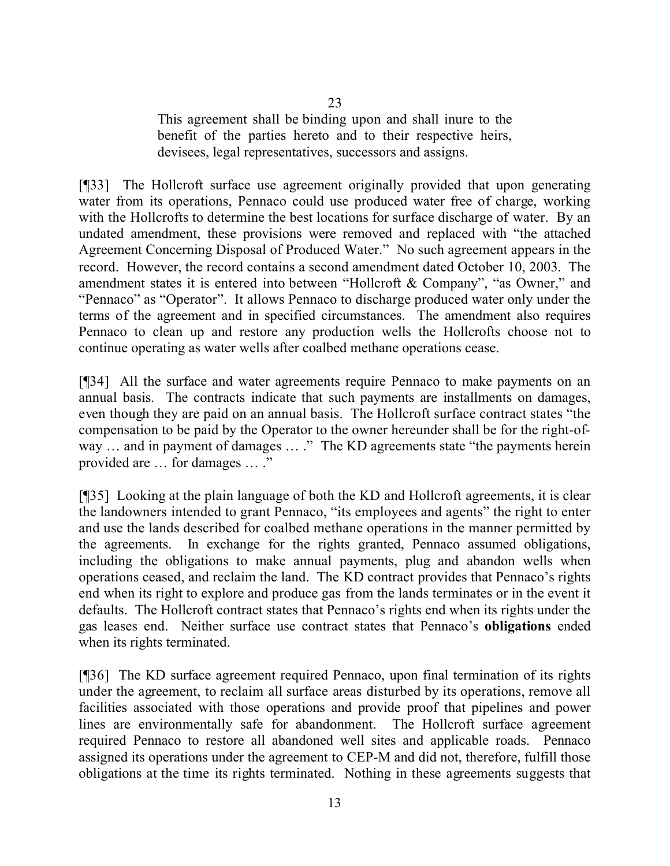This agreement shall be binding upon and shall inure to the benefit of the parties hereto and to their respective heirs, devisees, legal representatives, successors and assigns.

[¶33] The Hollcroft surface use agreement originally provided that upon generating water from its operations, Pennaco could use produced water free of charge, working with the Hollcrofts to determine the best locations for surface discharge of water. By an undated amendment, these provisions were removed and replaced with "the attached Agreement Concerning Disposal of Produced Water." No such agreement appears in the record. However, the record contains a second amendment dated October 10, 2003. The amendment states it is entered into between "Hollcroft & Company", "as Owner," and "Pennaco" as "Operator". It allows Pennaco to discharge produced water only under the terms of the agreement and in specified circumstances. The amendment also requires Pennaco to clean up and restore any production wells the Hollcrofts choose not to continue operating as water wells after coalbed methane operations cease.

[¶34] All the surface and water agreements require Pennaco to make payments on an annual basis. The contracts indicate that such payments are installments on damages, even though they are paid on an annual basis. The Hollcroft surface contract states "the compensation to be paid by the Operator to the owner hereunder shall be for the right-ofway ... and in payment of damages ... ." The KD agreements state "the payments herein provided are … for damages … ."

[¶35] Looking at the plain language of both the KD and Hollcroft agreements, it is clear the landowners intended to grant Pennaco, "its employees and agents" the right to enter and use the lands described for coalbed methane operations in the manner permitted by the agreements. In exchange for the rights granted, Pennaco assumed obligations, including the obligations to make annual payments, plug and abandon wells when operations ceased, and reclaim the land. The KD contract provides that Pennaco's rights end when its right to explore and produce gas from the lands terminates or in the event it defaults. The Hollcroft contract states that Pennaco's rights end when its rights under the gas leases end. Neither surface use contract states that Pennaco's **obligations** ended when its rights terminated.

[¶36] The KD surface agreement required Pennaco, upon final termination of its rights under the agreement, to reclaim all surface areas disturbed by its operations, remove all facilities associated with those operations and provide proof that pipelines and power lines are environmentally safe for abandonment. The Hollcroft surface agreement required Pennaco to restore all abandoned well sites and applicable roads. Pennaco assigned its operations under the agreement to CEP-M and did not, therefore, fulfill those obligations at the time its rights terminated. Nothing in these agreements suggests that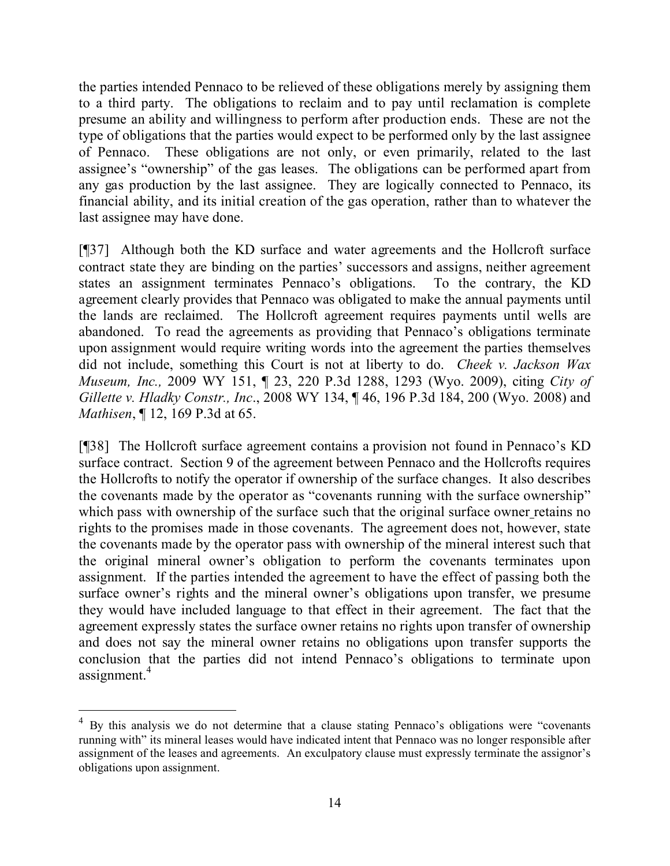the parties intended Pennaco to be relieved of these obligations merely by assigning them to a third party. The obligations to reclaim and to pay until reclamation is complete presume an ability and willingness to perform after production ends. These are not the type of obligations that the parties would expect to be performed only by the last assignee of Pennaco. These obligations are not only, or even primarily, related to the last assignee's "ownership" of the gas leases. The obligations can be performed apart from any gas production by the last assignee. They are logically connected to Pennaco, its financial ability, and its initial creation of the gas operation, rather than to whatever the last assignee may have done.

[¶37] Although both the KD surface and water agreements and the Hollcroft surface contract state they are binding on the parties' successors and assigns, neither agreement states an assignment terminates Pennaco's obligations. To the contrary, the KD agreement clearly provides that Pennaco was obligated to make the annual payments until the lands are reclaimed. The Hollcroft agreement requires payments until wells are abandoned. To read the agreements as providing that Pennaco's obligations terminate upon assignment would require writing words into the agreement the parties themselves did not include, something this Court is not at liberty to do. *Cheek v. Jackson Wax Museum, Inc.,* 2009 WY 151, ¶ 23, 220 P.3d 1288, 1293 (Wyo. 2009), citing *City of Gillette v. Hladky Constr., Inc*., 2008 WY 134, ¶ 46, 196 P.3d 184, 200 (Wyo. 2008) and *Mathisen*, ¶ 12, 169 P.3d at 65.

[¶38] The Hollcroft surface agreement contains a provision not found in Pennaco's KD surface contract. Section 9 of the agreement between Pennaco and the Hollcrofts requires the Hollcrofts to notify the operator if ownership of the surface changes. It also describes the covenants made by the operator as "covenants running with the surface ownership" which pass with ownership of the surface such that the original surface owner retains no rights to the promises made in those covenants. The agreement does not, however, state the covenants made by the operator pass with ownership of the mineral interest such that the original mineral owner's obligation to perform the covenants terminates upon assignment. If the parties intended the agreement to have the effect of passing both the surface owner's rights and the mineral owner's obligations upon transfer, we presume they would have included language to that effect in their agreement. The fact that the agreement expressly states the surface owner retains no rights upon transfer of ownership and does not say the mineral owner retains no obligations upon transfer supports the conclusion that the parties did not intend Pennaco's obligations to terminate upon assignment.<sup>4</sup>

 $\overline{a}$ 

<sup>&</sup>lt;sup>4</sup> By this analysis we do not determine that a clause stating Pennaco's obligations were "covenants running with" its mineral leases would have indicated intent that Pennaco was no longer responsible after assignment of the leases and agreements. An exculpatory clause must expressly terminate the assignor's obligations upon assignment.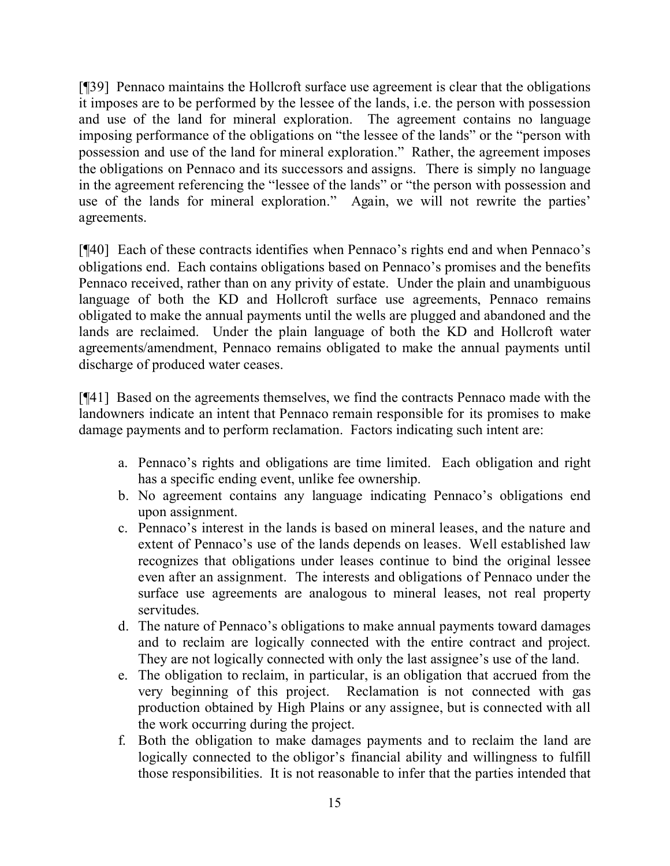[¶39] Pennaco maintains the Hollcroft surface use agreement is clear that the obligations it imposes are to be performed by the lessee of the lands, i.e. the person with possession and use of the land for mineral exploration. The agreement contains no language imposing performance of the obligations on "the lessee of the lands" or the "person with possession and use of the land for mineral exploration." Rather, the agreement imposes the obligations on Pennaco and its successors and assigns. There is simply no language in the agreement referencing the "lessee of the lands" or "the person with possession and use of the lands for mineral exploration." Again, we will not rewrite the parties' agreements.

[¶40] Each of these contracts identifies when Pennaco's rights end and when Pennaco's obligations end. Each contains obligations based on Pennaco's promises and the benefits Pennaco received, rather than on any privity of estate. Under the plain and unambiguous language of both the KD and Hollcroft surface use agreements, Pennaco remains obligated to make the annual payments until the wells are plugged and abandoned and the lands are reclaimed. Under the plain language of both the KD and Hollcroft water agreements/amendment, Pennaco remains obligated to make the annual payments until discharge of produced water ceases.

[¶41] Based on the agreements themselves, we find the contracts Pennaco made with the landowners indicate an intent that Pennaco remain responsible for its promises to make damage payments and to perform reclamation. Factors indicating such intent are:

- a. Pennaco's rights and obligations are time limited. Each obligation and right has a specific ending event, unlike fee ownership.
- b. No agreement contains any language indicating Pennaco's obligations end upon assignment.
- c. Pennaco's interest in the lands is based on mineral leases, and the nature and extent of Pennaco's use of the lands depends on leases. Well established law recognizes that obligations under leases continue to bind the original lessee even after an assignment. The interests and obligations of Pennaco under the surface use agreements are analogous to mineral leases, not real property servitudes.
- d. The nature of Pennaco's obligations to make annual payments toward damages and to reclaim are logically connected with the entire contract and project. They are not logically connected with only the last assignee's use of the land.
- e. The obligation to reclaim, in particular, is an obligation that accrued from the very beginning of this project. Reclamation is not connected with gas production obtained by High Plains or any assignee, but is connected with all the work occurring during the project.
- f. Both the obligation to make damages payments and to reclaim the land are logically connected to the obligor's financial ability and willingness to fulfill those responsibilities. It is not reasonable to infer that the parties intended that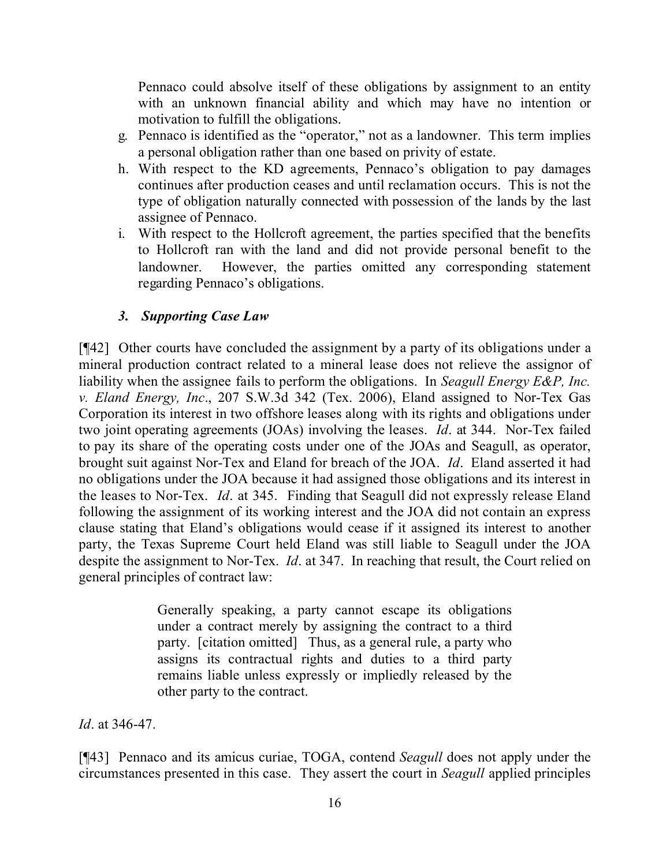Pennaco could absolve itself of these obligations by assignment to an entity with an unknown financial ability and which may have no intention or motivation to fulfill the obligations.

- g. Pennaco is identified as the "operator," not as a landowner. This term implies a personal obligation rather than one based on privity of estate.
- h. With respect to the KD agreements, Pennaco's obligation to pay damages continues after production ceases and until reclamation occurs. This is not the type of obligation naturally connected with possession of the lands by the last assignee of Pennaco.
- i. With respect to the Hollcroft agreement, the parties specified that the benefits to Hollcroft ran with the land and did not provide personal benefit to the landowner. However, the parties omitted any corresponding statement regarding Pennaco's obligations.

## *3. Supporting Case Law*

[¶42] Other courts have concluded the assignment by a party of its obligations under a mineral production contract related to a mineral lease does not relieve the assignor of liability when the assignee fails to perform the obligations. In *Seagull Energy E&P, Inc. v. Eland Energy, Inc*., 207 S.W.3d 342 (Tex. 2006), Eland assigned to Nor-Tex Gas Corporation its interest in two offshore leases along with its rights and obligations under two joint operating agreements (JOAs) involving the leases. *Id*. at 344. Nor-Tex failed to pay its share of the operating costs under one of the JOAs and Seagull, as operator, brought suit against Nor-Tex and Eland for breach of the JOA. *Id*. Eland asserted it had no obligations under the JOA because it had assigned those obligations and its interest in the leases to Nor-Tex. *Id*. at 345. Finding that Seagull did not expressly release Eland following the assignment of its working interest and the JOA did not contain an express clause stating that Eland's obligations would cease if it assigned its interest to another party, the Texas Supreme Court held Eland was still liable to Seagull under the JOA despite the assignment to Nor-Tex. *Id*. at 347. In reaching that result, the Court relied on general principles of contract law:

> Generally speaking, a party cannot escape its obligations under a contract merely by assigning the contract to a third party. [citation omitted] Thus, as a general rule, a party who assigns its contractual rights and duties to a third party remains liable unless expressly or impliedly released by the other party to the contract.

*Id*. at 346-47.

[¶43] Pennaco and its amicus curiae, TOGA, contend *Seagull* does not apply under the circumstances presented in this case. They assert the court in *Seagull* applied principles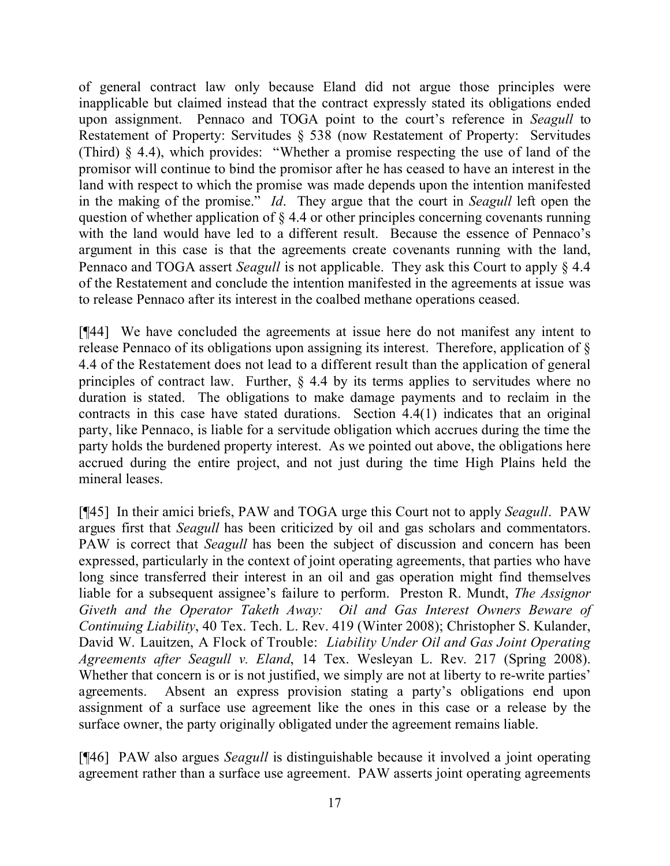of general contract law only because Eland did not argue those principles were inapplicable but claimed instead that the contract expressly stated its obligations ended upon assignment. Pennaco and TOGA point to the court's reference in *Seagull* to Restatement of Property: Servitudes § 538 (now Restatement of Property: Servitudes (Third) § 4.4), which provides: "Whether a promise respecting the use of land of the promisor will continue to bind the promisor after he has ceased to have an interest in the land with respect to which the promise was made depends upon the intention manifested in the making of the promise." *Id*. They argue that the court in *Seagull* left open the question of whether application of § 4.4 or other principles concerning covenants running with the land would have led to a different result. Because the essence of Pennaco's argument in this case is that the agreements create covenants running with the land, Pennaco and TOGA assert *Seagull* is not applicable. They ask this Court to apply § 4.4 of the Restatement and conclude the intention manifested in the agreements at issue was to release Pennaco after its interest in the coalbed methane operations ceased.

[¶44] We have concluded the agreements at issue here do not manifest any intent to release Pennaco of its obligations upon assigning its interest. Therefore, application of § 4.4 of the Restatement does not lead to a different result than the application of general principles of contract law. Further, § 4.4 by its terms applies to servitudes where no duration is stated. The obligations to make damage payments and to reclaim in the contracts in this case have stated durations. Section 4.4(1) indicates that an original party, like Pennaco, is liable for a servitude obligation which accrues during the time the party holds the burdened property interest. As we pointed out above, the obligations here accrued during the entire project, and not just during the time High Plains held the mineral leases.

[¶45] In their amici briefs, PAW and TOGA urge this Court not to apply *Seagull*. PAW argues first that *Seagull* has been criticized by oil and gas scholars and commentators. PAW is correct that *Seagull* has been the subject of discussion and concern has been expressed, particularly in the context of joint operating agreements, that parties who have long since transferred their interest in an oil and gas operation might find themselves liable for a subsequent assignee's failure to perform. Preston R. Mundt, *The Assignor Giveth and the Operator Taketh Away: Oil and Gas Interest Owners Beware of Continuing Liability*, 40 Tex. Tech. L. Rev. 419 (Winter 2008); Christopher S. Kulander, David W. Lauitzen, A Flock of Trouble: *Liability Under Oil and Gas Joint Operating Agreements after Seagull v. Eland*, 14 Tex. Wesleyan L. Rev. 217 (Spring 2008). Whether that concern is or is not justified, we simply are not at liberty to re-write parties' agreements. Absent an express provision stating a party's obligations end upon assignment of a surface use agreement like the ones in this case or a release by the surface owner, the party originally obligated under the agreement remains liable.

[¶46] PAW also argues *Seagull* is distinguishable because it involved a joint operating agreement rather than a surface use agreement. PAW asserts joint operating agreements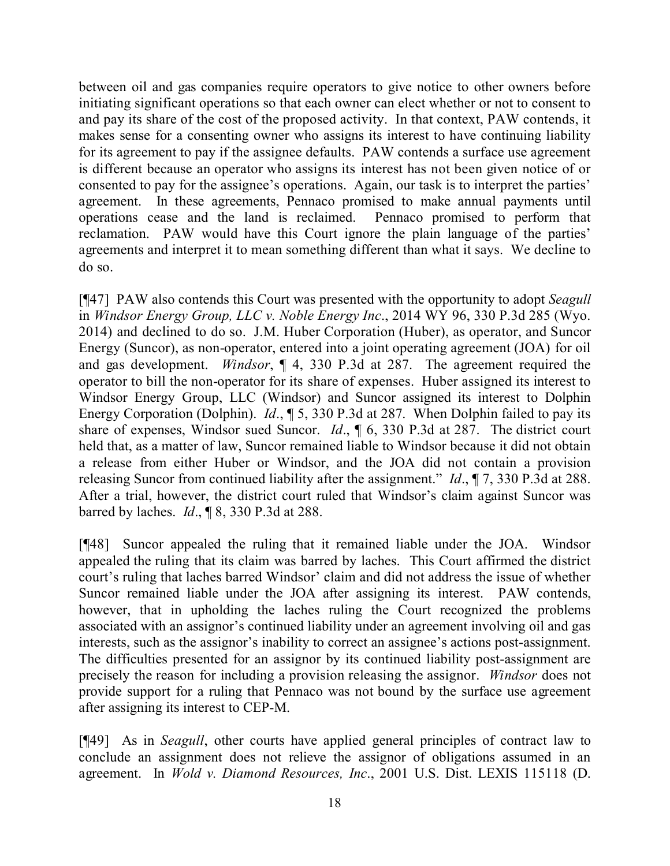between oil and gas companies require operators to give notice to other owners before initiating significant operations so that each owner can elect whether or not to consent to and pay its share of the cost of the proposed activity. In that context, PAW contends, it makes sense for a consenting owner who assigns its interest to have continuing liability for its agreement to pay if the assignee defaults. PAW contends a surface use agreement is different because an operator who assigns its interest has not been given notice of or consented to pay for the assignee's operations. Again, our task is to interpret the parties' agreement. In these agreements, Pennaco promised to make annual payments until operations cease and the land is reclaimed. Pennaco promised to perform that reclamation. PAW would have this Court ignore the plain language of the parties' agreements and interpret it to mean something different than what it says. We decline to do so.

[¶47] PAW also contends this Court was presented with the opportunity to adopt *Seagull* in *Windsor Energy Group, LLC v. Noble Energy Inc*., 2014 WY 96, 330 P.3d 285 (Wyo. 2014) and declined to do so. J.M. Huber Corporation (Huber), as operator, and Suncor Energy (Suncor), as non-operator, entered into a joint operating agreement (JOA) for oil and gas development. *Windsor*, ¶ 4, 330 P.3d at 287. The agreement required the operator to bill the non-operator for its share of expenses. Huber assigned its interest to Windsor Energy Group, LLC (Windsor) and Suncor assigned its interest to Dolphin Energy Corporation (Dolphin). *Id*., ¶ 5, 330 P.3d at 287. When Dolphin failed to pay its share of expenses, Windsor sued Suncor. *Id*., ¶ 6, 330 P.3d at 287. The district court held that, as a matter of law, Suncor remained liable to Windsor because it did not obtain a release from either Huber or Windsor, and the JOA did not contain a provision releasing Suncor from continued liability after the assignment." *Id*., ¶ 7, 330 P.3d at 288. After a trial, however, the district court ruled that Windsor's claim against Suncor was barred by laches. *Id*., ¶ 8, 330 P.3d at 288.

[¶48] Suncor appealed the ruling that it remained liable under the JOA. Windsor appealed the ruling that its claim was barred by laches. This Court affirmed the district court's ruling that laches barred Windsor' claim and did not address the issue of whether Suncor remained liable under the JOA after assigning its interest. PAW contends, however, that in upholding the laches ruling the Court recognized the problems associated with an assignor's continued liability under an agreement involving oil and gas interests, such as the assignor's inability to correct an assignee's actions post-assignment. The difficulties presented for an assignor by its continued liability post-assignment are precisely the reason for including a provision releasing the assignor. *Windsor* does not provide support for a ruling that Pennaco was not bound by the surface use agreement after assigning its interest to CEP-M.

[¶49] As in *Seagull*, other courts have applied general principles of contract law to conclude an assignment does not relieve the assignor of obligations assumed in an agreement. In *Wold v. Diamond Resources, Inc*., 2001 U.S. Dist. LEXIS 115118 (D.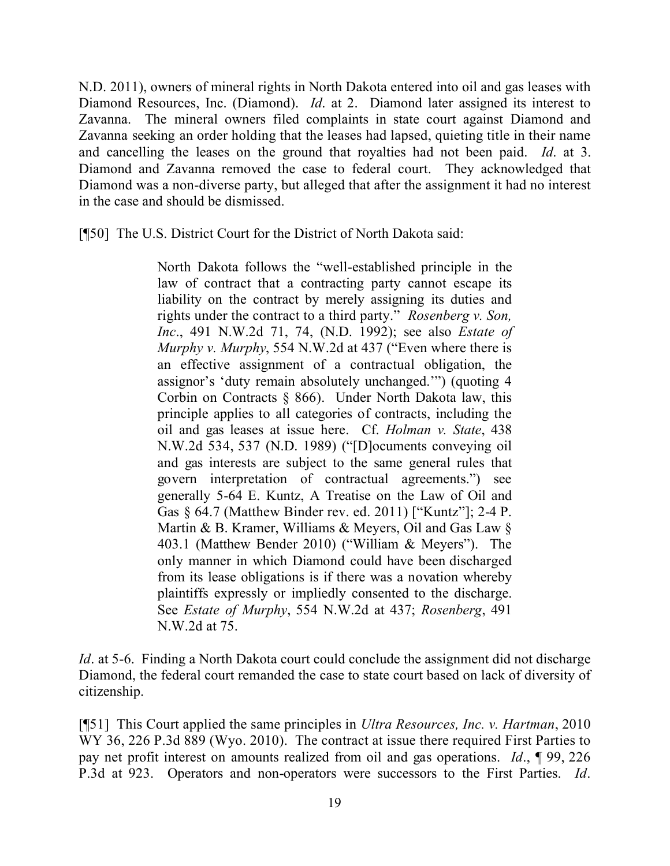N.D. 2011), owners of mineral rights in North Dakota entered into oil and gas leases with Diamond Resources, Inc. (Diamond). *Id*. at 2. Diamond later assigned its interest to Zavanna. The mineral owners filed complaints in state court against Diamond and Zavanna seeking an order holding that the leases had lapsed, quieting title in their name and cancelling the leases on the ground that royalties had not been paid. *Id*. at 3. Diamond and Zavanna removed the case to federal court. They acknowledged that Diamond was a non-diverse party, but alleged that after the assignment it had no interest in the case and should be dismissed.

[¶50] The U.S. District Court for the District of North Dakota said:

North Dakota follows the "well-established principle in the law of contract that a contracting party cannot escape its liability on the contract by merely assigning its duties and rights under the contract to a third party." *Rosenberg v. Son, Inc*., 491 N.W.2d 71, 74, (N.D. 1992); see also *Estate of Murphy v. Murphy*, 554 N.W.2d at 437 ("Even where there is an effective assignment of a contractual obligation, the assignor's 'duty remain absolutely unchanged.'") (quoting 4 Corbin on Contracts § 866). Under North Dakota law, this principle applies to all categories of contracts, including the oil and gas leases at issue here. Cf. *Holman v. State*, 438 N.W.2d 534, 537 (N.D. 1989) ("[D]ocuments conveying oil and gas interests are subject to the same general rules that govern interpretation of contractual agreements.") see generally 5-64 E. Kuntz, A Treatise on the Law of Oil and Gas § 64.7 (Matthew Binder rev. ed. 2011) ["Kuntz"]; 2-4 P. Martin & B. Kramer, Williams & Meyers, Oil and Gas Law § 403.1 (Matthew Bender 2010) ("William & Meyers"). The only manner in which Diamond could have been discharged from its lease obligations is if there was a novation whereby plaintiffs expressly or impliedly consented to the discharge. See *Estate of Murphy*, 554 N.W.2d at 437; *Rosenberg*, 491 N.W.2d at 75.

*Id*. at 5-6. Finding a North Dakota court could conclude the assignment did not discharge Diamond, the federal court remanded the case to state court based on lack of diversity of citizenship.

[¶51] This Court applied the same principles in *Ultra Resources, Inc. v. Hartman*, 2010 WY 36, 226 P.3d 889 (Wyo. 2010). The contract at issue there required First Parties to pay net profit interest on amounts realized from oil and gas operations. *Id*., ¶ 99, 226 P.3d at 923. Operators and non-operators were successors to the First Parties. *Id*.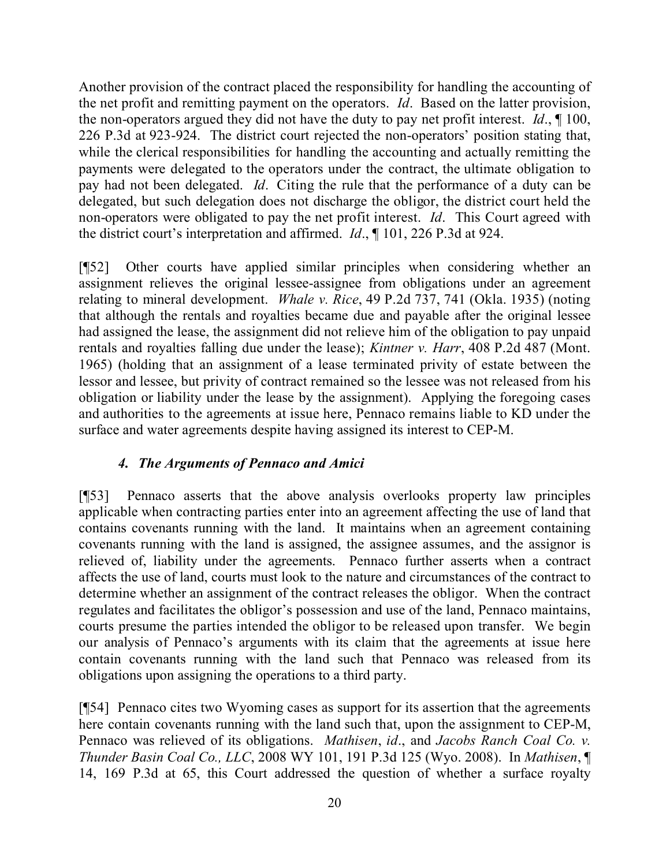Another provision of the contract placed the responsibility for handling the accounting of the net profit and remitting payment on the operators. *Id*. Based on the latter provision, the non-operators argued they did not have the duty to pay net profit interest. *Id*., ¶ 100, 226 P.3d at 923-924. The district court rejected the non-operators' position stating that, while the clerical responsibilities for handling the accounting and actually remitting the payments were delegated to the operators under the contract, the ultimate obligation to pay had not been delegated. *Id*. Citing the rule that the performance of a duty can be delegated, but such delegation does not discharge the obligor, the district court held the non-operators were obligated to pay the net profit interest. *Id*. This Court agreed with the district court's interpretation and affirmed. *Id*., ¶ 101, 226 P.3d at 924.

[¶52] Other courts have applied similar principles when considering whether an assignment relieves the original lessee-assignee from obligations under an agreement relating to mineral development. *Whale v. Rice*, 49 P.2d 737, 741 (Okla. 1935) (noting that although the rentals and royalties became due and payable after the original lessee had assigned the lease, the assignment did not relieve him of the obligation to pay unpaid rentals and royalties falling due under the lease); *Kintner v. Harr*, 408 P.2d 487 (Mont. 1965) (holding that an assignment of a lease terminated privity of estate between the lessor and lessee, but privity of contract remained so the lessee was not released from his obligation or liability under the lease by the assignment). Applying the foregoing cases and authorities to the agreements at issue here, Pennaco remains liable to KD under the surface and water agreements despite having assigned its interest to CEP-M.

## *4. The Arguments of Pennaco and Amici*

[¶53] Pennaco asserts that the above analysis overlooks property law principles applicable when contracting parties enter into an agreement affecting the use of land that contains covenants running with the land. It maintains when an agreement containing covenants running with the land is assigned, the assignee assumes, and the assignor is relieved of, liability under the agreements. Pennaco further asserts when a contract affects the use of land, courts must look to the nature and circumstances of the contract to determine whether an assignment of the contract releases the obligor. When the contract regulates and facilitates the obligor's possession and use of the land, Pennaco maintains, courts presume the parties intended the obligor to be released upon transfer. We begin our analysis of Pennaco's arguments with its claim that the agreements at issue here contain covenants running with the land such that Pennaco was released from its obligations upon assigning the operations to a third party.

[¶54] Pennaco cites two Wyoming cases as support for its assertion that the agreements here contain covenants running with the land such that, upon the assignment to CEP-M, Pennaco was relieved of its obligations. *Mathisen*, *id*., and *Jacobs Ranch Coal Co. v. Thunder Basin Coal Co., LLC*, 2008 WY 101, 191 P.3d 125 (Wyo. 2008). In *Mathisen*, ¶ 14, 169 P.3d at 65, this Court addressed the question of whether a surface royalty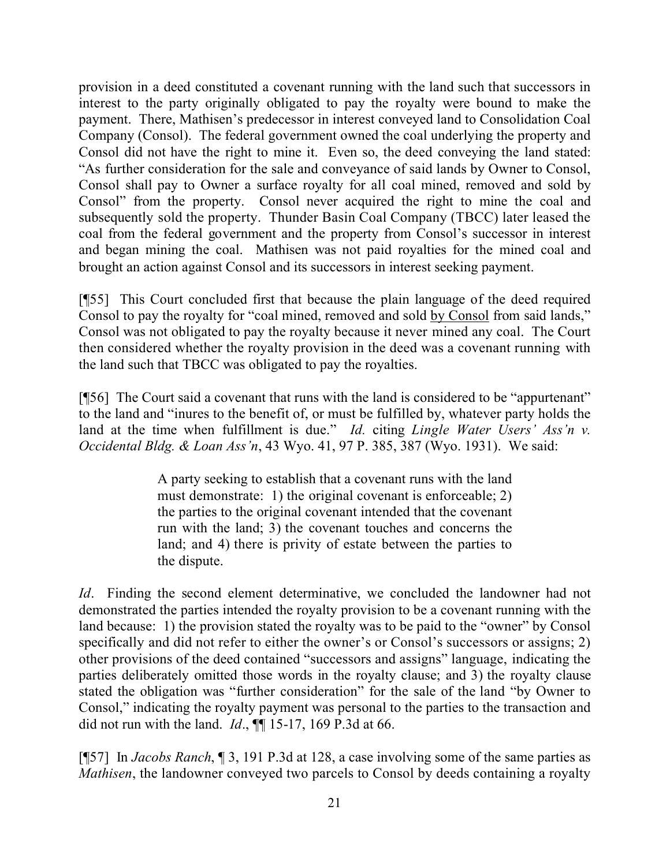provision in a deed constituted a covenant running with the land such that successors in interest to the party originally obligated to pay the royalty were bound to make the payment. There, Mathisen's predecessor in interest conveyed land to Consolidation Coal Company (Consol). The federal government owned the coal underlying the property and Consol did not have the right to mine it. Even so, the deed conveying the land stated: "As further consideration for the sale and conveyance of said lands by Owner to Consol, Consol shall pay to Owner a surface royalty for all coal mined, removed and sold by Consol" from the property. Consol never acquired the right to mine the coal and subsequently sold the property. Thunder Basin Coal Company (TBCC) later leased the coal from the federal government and the property from Consol's successor in interest and began mining the coal. Mathisen was not paid royalties for the mined coal and brought an action against Consol and its successors in interest seeking payment.

[¶55] This Court concluded first that because the plain language of the deed required Consol to pay the royalty for "coal mined, removed and sold by Consol from said lands," Consol was not obligated to pay the royalty because it never mined any coal. The Court then considered whether the royalty provision in the deed was a covenant running with the land such that TBCC was obligated to pay the royalties.

[¶56] The Court said a covenant that runs with the land is considered to be "appurtenant" to the land and "inures to the benefit of, or must be fulfilled by, whatever party holds the land at the time when fulfillment is due." *Id.* citing *Lingle Water Users' Ass'n v. Occidental Bldg. & Loan Ass'n*, 43 Wyo. 41, 97 P. 385, 387 (Wyo. 1931). We said:

> A party seeking to establish that a covenant runs with the land must demonstrate: 1) the original covenant is enforceable; 2) the parties to the original covenant intended that the covenant run with the land; 3) the covenant touches and concerns the land; and 4) there is privity of estate between the parties to the dispute.

*Id*. Finding the second element determinative, we concluded the landowner had not demonstrated the parties intended the royalty provision to be a covenant running with the land because: 1) the provision stated the royalty was to be paid to the "owner" by Consol specifically and did not refer to either the owner's or Consol's successors or assigns; 2) other provisions of the deed contained "successors and assigns" language, indicating the parties deliberately omitted those words in the royalty clause; and 3) the royalty clause stated the obligation was "further consideration" for the sale of the land "by Owner to Consol," indicating the royalty payment was personal to the parties to the transaction and did not run with the land. *Id*., ¶¶ 15-17, 169 P.3d at 66.

[¶57] In *Jacobs Ranch*, ¶ 3, 191 P.3d at 128, a case involving some of the same parties as *Mathisen*, the landowner conveyed two parcels to Consol by deeds containing a royalty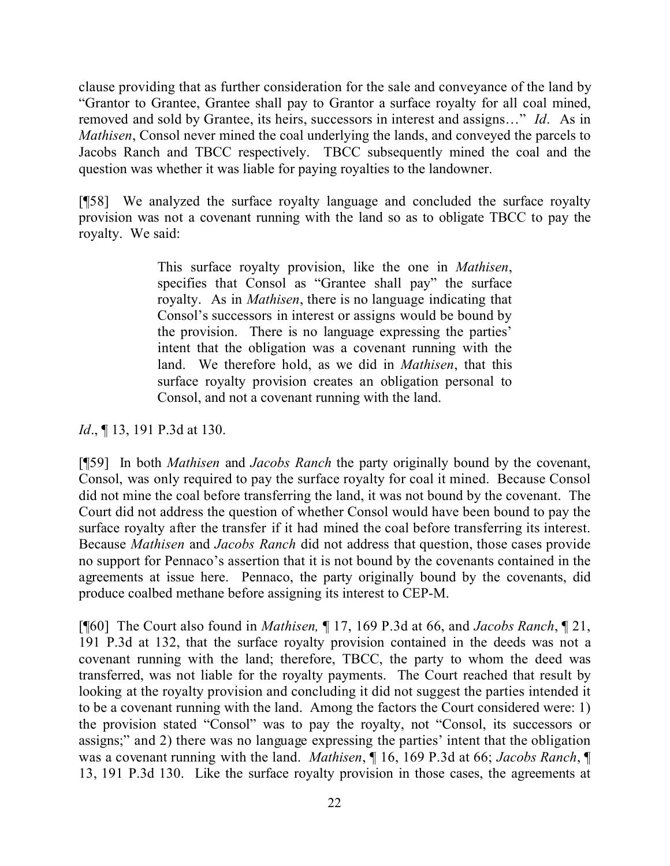clause providing that as further consideration for the sale and conveyance of the land by "Grantor to Grantee, Grantee shall pay to Grantor a surface royalty for all coal mined, removed and sold by Grantee, its heirs, successors in interest and assigns…" *Id*. As in *Mathisen*, Consol never mined the coal underlying the lands, and conveyed the parcels to Jacobs Ranch and TBCC respectively. TBCC subsequently mined the coal and the question was whether it was liable for paying royalties to the landowner.

[¶58] We analyzed the surface royalty language and concluded the surface royalty provision was not a covenant running with the land so as to obligate TBCC to pay the royalty. We said:

> This surface royalty provision, like the one in *Mathisen*, specifies that Consol as "Grantee shall pay" the surface royalty. As in *Mathisen*, there is no language indicating that Consol's successors in interest or assigns would be bound by the provision. There is no language expressing the parties' intent that the obligation was a covenant running with the land. We therefore hold, as we did in *Mathisen*, that this surface royalty provision creates an obligation personal to Consol, and not a covenant running with the land.

*Id.*, **[13, 191 P.3d at 130.** 

[¶59] In both *Mathisen* and *Jacobs Ranch* the party originally bound by the covenant, Consol, was only required to pay the surface royalty for coal it mined. Because Consol did not mine the coal before transferring the land, it was not bound by the covenant. The Court did not address the question of whether Consol would have been bound to pay the surface royalty after the transfer if it had mined the coal before transferring its interest. Because *Mathisen* and *Jacobs Ranch* did not address that question, those cases provide no support for Pennaco's assertion that it is not bound by the covenants contained in the agreements at issue here. Pennaco, the party originally bound by the covenants, did produce coalbed methane before assigning its interest to CEP-M.

[¶60] The Court also found in *Mathisen,* ¶ 17, 169 P.3d at 66, and *Jacobs Ranch*, ¶ 21, 191 P.3d at 132, that the surface royalty provision contained in the deeds was not a covenant running with the land; therefore, TBCC, the party to whom the deed was transferred, was not liable for the royalty payments. The Court reached that result by looking at the royalty provision and concluding it did not suggest the parties intended it to be a covenant running with the land. Among the factors the Court considered were: 1) the provision stated "Consol" was to pay the royalty, not "Consol, its successors or assigns;" and 2) there was no language expressing the parties' intent that the obligation was a covenant running with the land. *Mathisen*, ¶ 16, 169 P.3d at 66; *Jacobs Ranch*, ¶ 13, 191 P.3d 130. Like the surface royalty provision in those cases, the agreements at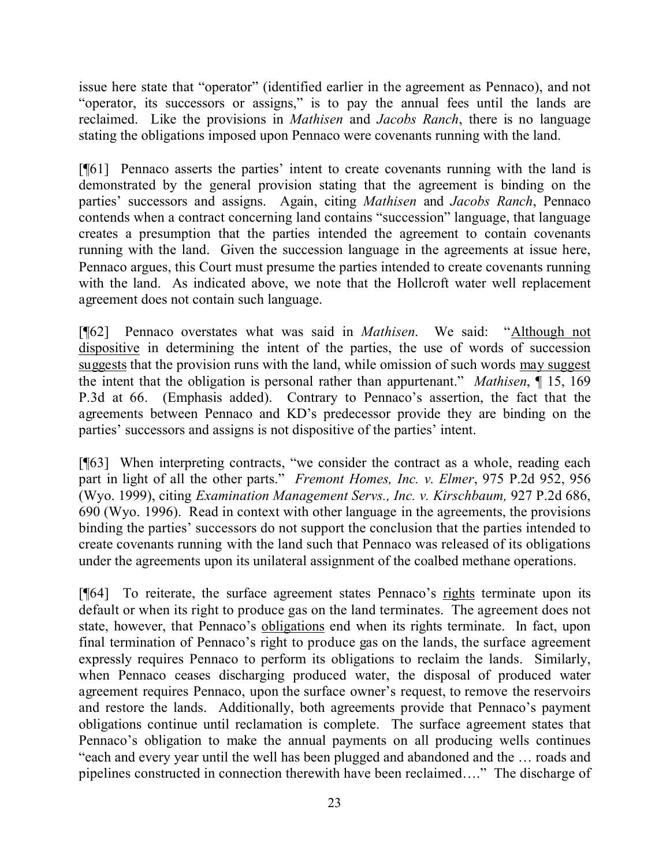issue here state that "operator" (identified earlier in the agreement as Pennaco), and not "operator, its successors or assigns," is to pay the annual fees until the lands are reclaimed. Like the provisions in *Mathisen* and *Jacobs Ranch*, there is no language stating the obligations imposed upon Pennaco were covenants running with the land.

[¶61] Pennaco asserts the parties' intent to create covenants running with the land is demonstrated by the general provision stating that the agreement is binding on the parties' successors and assigns. Again, citing *Mathisen* and *Jacobs Ranch*, Pennaco contends when a contract concerning land contains "succession" language, that language creates a presumption that the parties intended the agreement to contain covenants running with the land. Given the succession language in the agreements at issue here, Pennaco argues, this Court must presume the parties intended to create covenants running with the land. As indicated above, we note that the Hollcroft water well replacement agreement does not contain such language.

[¶62] Pennaco overstates what was said in *Mathisen*. We said: "Although not dispositive in determining the intent of the parties, the use of words of succession suggests that the provision runs with the land, while omission of such words may suggest the intent that the obligation is personal rather than appurtenant." *Mathisen*, ¶ 15, 169 P.3d at 66. (Emphasis added). Contrary to Pennaco's assertion, the fact that the agreements between Pennaco and KD's predecessor provide they are binding on the parties' successors and assigns is not dispositive of the parties' intent.

[¶63] When interpreting contracts, "we consider the contract as a whole, reading each part in light of all the other parts." *Fremont Homes, Inc. v. Elmer*, 975 P.2d 952, 956 (Wyo. 1999), citing *Examination Management Servs., Inc. v. Kirschbaum,* 927 P.2d 686, 690 (Wyo. 1996). Read in context with other language in the agreements, the provisions binding the parties' successors do not support the conclusion that the parties intended to create covenants running with the land such that Pennaco was released of its obligations under the agreements upon its unilateral assignment of the coalbed methane operations.

[¶64] To reiterate, the surface agreement states Pennaco's rights terminate upon its default or when its right to produce gas on the land terminates. The agreement does not state, however, that Pennaco's obligations end when its rights terminate. In fact, upon final termination of Pennaco's right to produce gas on the lands, the surface agreement expressly requires Pennaco to perform its obligations to reclaim the lands. Similarly, when Pennaco ceases discharging produced water, the disposal of produced water agreement requires Pennaco, upon the surface owner's request, to remove the reservoirs and restore the lands. Additionally, both agreements provide that Pennaco's payment obligations continue until reclamation is complete. The surface agreement states that Pennaco's obligation to make the annual payments on all producing wells continues "each and every year until the well has been plugged and abandoned and the … roads and pipelines constructed in connection therewith have been reclaimed…." The discharge of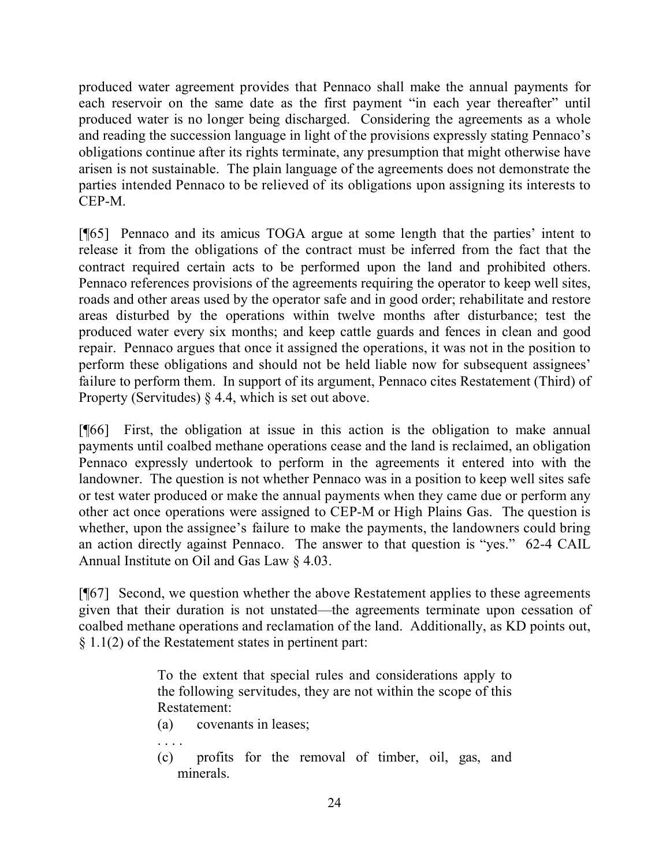produced water agreement provides that Pennaco shall make the annual payments for each reservoir on the same date as the first payment "in each year thereafter" until produced water is no longer being discharged. Considering the agreements as a whole and reading the succession language in light of the provisions expressly stating Pennaco's obligations continue after its rights terminate, any presumption that might otherwise have arisen is not sustainable. The plain language of the agreements does not demonstrate the parties intended Pennaco to be relieved of its obligations upon assigning its interests to CEP-M.

[¶65] Pennaco and its amicus TOGA argue at some length that the parties' intent to release it from the obligations of the contract must be inferred from the fact that the contract required certain acts to be performed upon the land and prohibited others. Pennaco references provisions of the agreements requiring the operator to keep well sites, roads and other areas used by the operator safe and in good order; rehabilitate and restore areas disturbed by the operations within twelve months after disturbance; test the produced water every six months; and keep cattle guards and fences in clean and good repair. Pennaco argues that once it assigned the operations, it was not in the position to perform these obligations and should not be held liable now for subsequent assignees' failure to perform them. In support of its argument, Pennaco cites Restatement (Third) of Property (Servitudes) § 4.4, which is set out above.

[¶66] First, the obligation at issue in this action is the obligation to make annual payments until coalbed methane operations cease and the land is reclaimed, an obligation Pennaco expressly undertook to perform in the agreements it entered into with the landowner. The question is not whether Pennaco was in a position to keep well sites safe or test water produced or make the annual payments when they came due or perform any other act once operations were assigned to CEP-M or High Plains Gas. The question is whether, upon the assignee's failure to make the payments, the landowners could bring an action directly against Pennaco. The answer to that question is "yes." 62-4 CAIL Annual Institute on Oil and Gas Law § 4.03.

[¶67] Second, we question whether the above Restatement applies to these agreements given that their duration is not unstated—the agreements terminate upon cessation of coalbed methane operations and reclamation of the land. Additionally, as KD points out, § 1.1(2) of the Restatement states in pertinent part:

> To the extent that special rules and considerations apply to the following servitudes, they are not within the scope of this Restatement:

- (a) covenants in leases;
- . . . .
- (c) profits for the removal of timber, oil, gas, and minerals.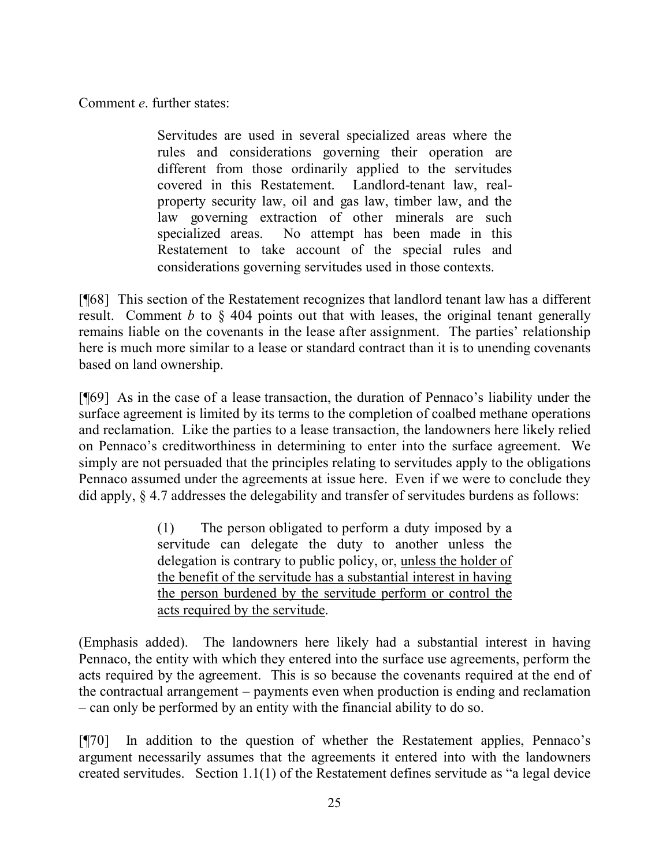Comment *e*. further states:

Servitudes are used in several specialized areas where the rules and considerations governing their operation are different from those ordinarily applied to the servitudes covered in this Restatement. Landlord-tenant law, realproperty security law, oil and gas law, timber law, and the law governing extraction of other minerals are such specialized areas. No attempt has been made in this Restatement to take account of the special rules and considerations governing servitudes used in those contexts.

[¶68] This section of the Restatement recognizes that landlord tenant law has a different result. Comment *b* to § 404 points out that with leases, the original tenant generally remains liable on the covenants in the lease after assignment. The parties' relationship here is much more similar to a lease or standard contract than it is to unending covenants based on land ownership.

[¶69] As in the case of a lease transaction, the duration of Pennaco's liability under the surface agreement is limited by its terms to the completion of coalbed methane operations and reclamation. Like the parties to a lease transaction, the landowners here likely relied on Pennaco's creditworthiness in determining to enter into the surface agreement. We simply are not persuaded that the principles relating to servitudes apply to the obligations Pennaco assumed under the agreements at issue here. Even if we were to conclude they did apply, § 4.7 addresses the delegability and transfer of servitudes burdens as follows:

> (1) The person obligated to perform a duty imposed by a servitude can delegate the duty to another unless the delegation is contrary to public policy, or, unless the holder of the benefit of the servitude has a substantial interest in having the person burdened by the servitude perform or control the acts required by the servitude.

(Emphasis added). The landowners here likely had a substantial interest in having Pennaco, the entity with which they entered into the surface use agreements, perform the acts required by the agreement. This is so because the covenants required at the end of the contractual arrangement – payments even when production is ending and reclamation – can only be performed by an entity with the financial ability to do so.

[¶70] In addition to the question of whether the Restatement applies, Pennaco's argument necessarily assumes that the agreements it entered into with the landowners created servitudes. Section 1.1(1) of the Restatement defines servitude as "a legal device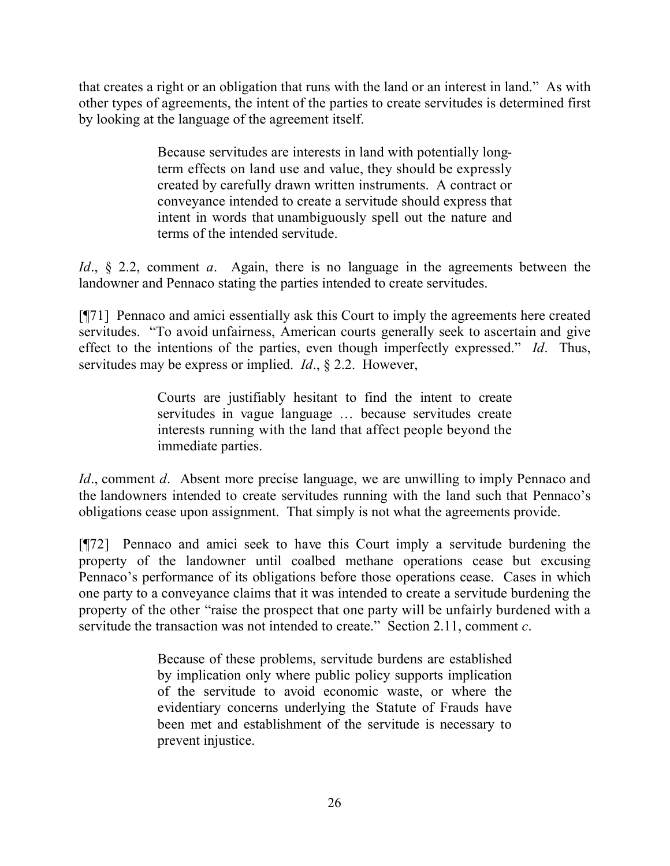that creates a right or an obligation that runs with the land or an interest in land." As with other types of agreements, the intent of the parties to create servitudes is determined first by looking at the language of the agreement itself.

> Because servitudes are interests in land with potentially longterm effects on land use and value, they should be expressly created by carefully drawn written instruments. A contract or conveyance intended to create a servitude should express that intent in words that unambiguously spell out the nature and terms of the intended servitude.

*Id*., § 2.2, comment *a*. Again, there is no language in the agreements between the landowner and Pennaco stating the parties intended to create servitudes.

[¶71] Pennaco and amici essentially ask this Court to imply the agreements here created servitudes. "To avoid unfairness, American courts generally seek to ascertain and give effect to the intentions of the parties, even though imperfectly expressed." *Id*. Thus, servitudes may be express or implied. *Id*., § 2.2. However,

> Courts are justifiably hesitant to find the intent to create servitudes in vague language … because servitudes create interests running with the land that affect people beyond the immediate parties.

*Id.*, comment *d.* Absent more precise language, we are unwilling to imply Pennaco and the landowners intended to create servitudes running with the land such that Pennaco's obligations cease upon assignment. That simply is not what the agreements provide.

[¶72] Pennaco and amici seek to have this Court imply a servitude burdening the property of the landowner until coalbed methane operations cease but excusing Pennaco's performance of its obligations before those operations cease. Cases in which one party to a conveyance claims that it was intended to create a servitude burdening the property of the other "raise the prospect that one party will be unfairly burdened with a servitude the transaction was not intended to create." Section 2.11, comment *c*.

> Because of these problems, servitude burdens are established by implication only where public policy supports implication of the servitude to avoid economic waste, or where the evidentiary concerns underlying the Statute of Frauds have been met and establishment of the servitude is necessary to prevent injustice.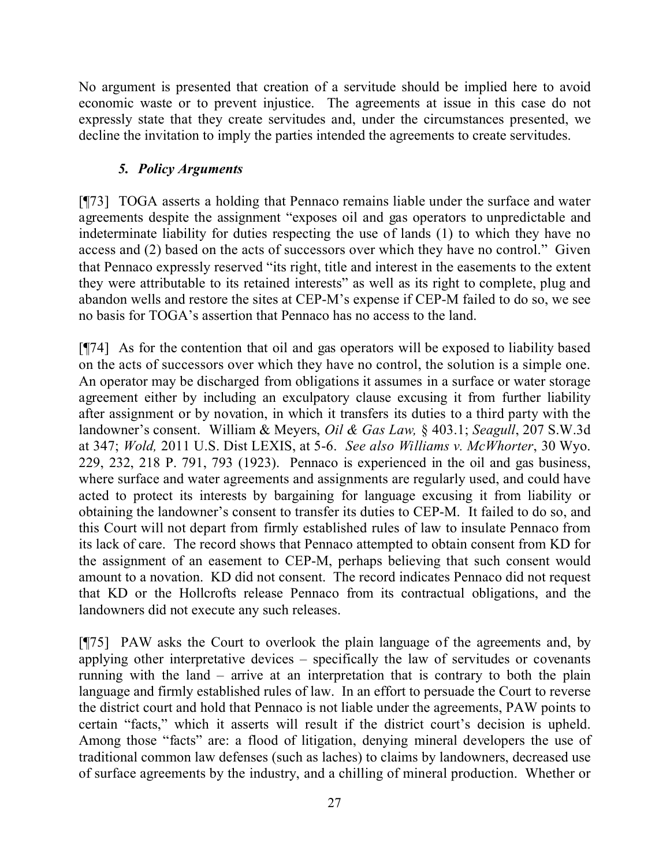No argument is presented that creation of a servitude should be implied here to avoid economic waste or to prevent injustice. The agreements at issue in this case do not expressly state that they create servitudes and, under the circumstances presented, we decline the invitation to imply the parties intended the agreements to create servitudes.

## *5. Policy Arguments*

[¶73] TOGA asserts a holding that Pennaco remains liable under the surface and water agreements despite the assignment "exposes oil and gas operators to unpredictable and indeterminate liability for duties respecting the use of lands (1) to which they have no access and (2) based on the acts of successors over which they have no control." Given that Pennaco expressly reserved "its right, title and interest in the easements to the extent they were attributable to its retained interests" as well as its right to complete, plug and abandon wells and restore the sites at CEP-M's expense if CEP-M failed to do so, we see no basis for TOGA's assertion that Pennaco has no access to the land.

[¶74] As for the contention that oil and gas operators will be exposed to liability based on the acts of successors over which they have no control, the solution is a simple one. An operator may be discharged from obligations it assumes in a surface or water storage agreement either by including an exculpatory clause excusing it from further liability after assignment or by novation, in which it transfers its duties to a third party with the landowner's consent. William & Meyers, *Oil & Gas Law,* § 403.1; *Seagull*, 207 S.W.3d at 347; *Wold,* 2011 U.S. Dist LEXIS, at 5-6. *See also Williams v. McWhorter*, 30 Wyo. 229, 232, 218 P. 791, 793 (1923). Pennaco is experienced in the oil and gas business, where surface and water agreements and assignments are regularly used, and could have acted to protect its interests by bargaining for language excusing it from liability or obtaining the landowner's consent to transfer its duties to CEP-M. It failed to do so, and this Court will not depart from firmly established rules of law to insulate Pennaco from its lack of care. The record shows that Pennaco attempted to obtain consent from KD for the assignment of an easement to CEP-M, perhaps believing that such consent would amount to a novation. KD did not consent. The record indicates Pennaco did not request that KD or the Hollcrofts release Pennaco from its contractual obligations, and the landowners did not execute any such releases.

[¶75] PAW asks the Court to overlook the plain language of the agreements and, by applying other interpretative devices – specifically the law of servitudes or covenants running with the land – arrive at an interpretation that is contrary to both the plain language and firmly established rules of law. In an effort to persuade the Court to reverse the district court and hold that Pennaco is not liable under the agreements, PAW points to certain "facts," which it asserts will result if the district court's decision is upheld. Among those "facts" are: a flood of litigation, denying mineral developers the use of traditional common law defenses (such as laches) to claims by landowners, decreased use of surface agreements by the industry, and a chilling of mineral production. Whether or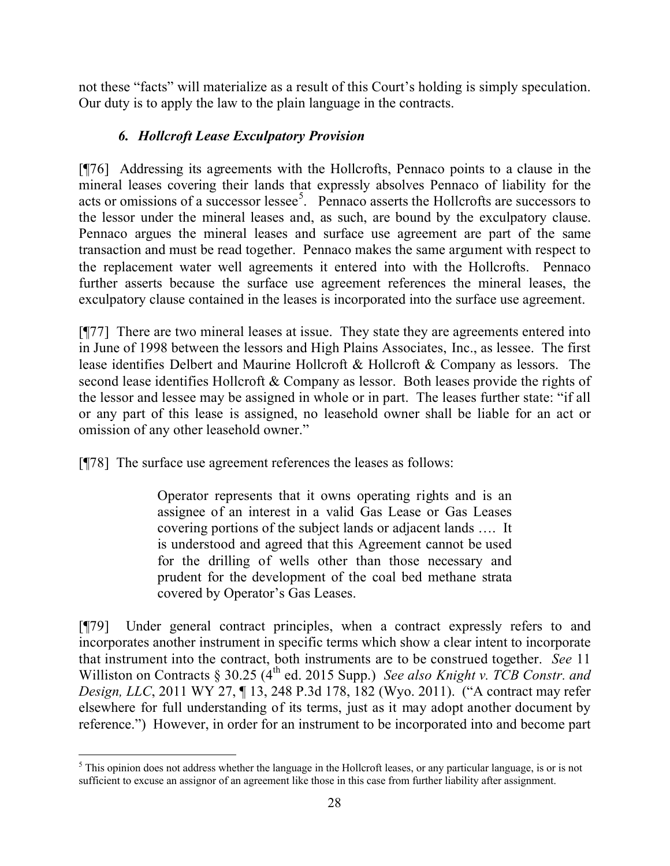not these "facts" will materialize as a result of this Court's holding is simply speculation. Our duty is to apply the law to the plain language in the contracts.

# *6. Hollcroft Lease Exculpatory Provision*

[¶76] Addressing its agreements with the Hollcrofts, Pennaco points to a clause in the mineral leases covering their lands that expressly absolves Pennaco of liability for the acts or omissions of a successor lessee<sup>5</sup>. Pennaco asserts the Hollcrofts are successors to the lessor under the mineral leases and, as such, are bound by the exculpatory clause. Pennaco argues the mineral leases and surface use agreement are part of the same transaction and must be read together. Pennaco makes the same argument with respect to the replacement water well agreements it entered into with the Hollcrofts. Pennaco further asserts because the surface use agreement references the mineral leases, the exculpatory clause contained in the leases is incorporated into the surface use agreement.

[¶77] There are two mineral leases at issue. They state they are agreements entered into in June of 1998 between the lessors and High Plains Associates, Inc., as lessee. The first lease identifies Delbert and Maurine Hollcroft & Hollcroft & Company as lessors. The second lease identifies Hollcroft & Company as lessor. Both leases provide the rights of the lessor and lessee may be assigned in whole or in part. The leases further state: "if all or any part of this lease is assigned, no leasehold owner shall be liable for an act or omission of any other leasehold owner."

[¶78] The surface use agreement references the leases as follows:

Operator represents that it owns operating rights and is an assignee of an interest in a valid Gas Lease or Gas Leases covering portions of the subject lands or adjacent lands …. It is understood and agreed that this Agreement cannot be used for the drilling of wells other than those necessary and prudent for the development of the coal bed methane strata covered by Operator's Gas Leases.

[¶79] Under general contract principles, when a contract expressly refers to and incorporates another instrument in specific terms which show a clear intent to incorporate that instrument into the contract, both instruments are to be construed together. *See* 11 Williston on Contracts § 30.25 (4<sup>th</sup> ed. 2015 Supp.) *See also Knight v. TCB Constr. and Design, LLC*, 2011 WY 27, ¶ 13, 248 P.3d 178, 182 (Wyo. 2011). ("A contract may refer elsewhere for full understanding of its terms, just as it may adopt another document by reference.") However, in order for an instrument to be incorporated into and become part

 $\overline{a}$  $<sup>5</sup>$  This opinion does not address whether the language in the Hollcroft leases, or any particular language, is or is not</sup> sufficient to excuse an assignor of an agreement like those in this case from further liability after assignment.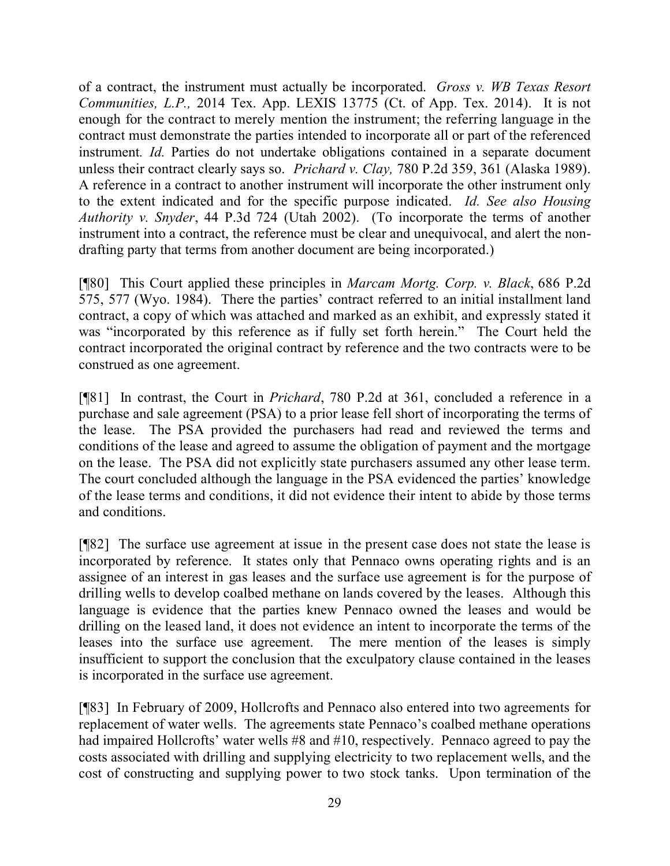of a contract, the instrument must actually be incorporated. *Gross v. WB Texas Resort Communities, L.P.,* 2014 Tex. App. LEXIS 13775 (Ct. of App. Tex. 2014).It is not enough for the contract to merely mention the instrument; the referring language in the contract must demonstrate the parties intended to incorporate all or part of the referenced instrument*. Id.* Parties do not undertake obligations contained in a separate document unless their contract clearly says so. *Prichard v. Clay,* 780 P.2d 359, 361 (Alaska 1989). A reference in a contract to another instrument will incorporate the other instrument only to the extent indicated and for the specific purpose indicated. *Id. See also Housing Authority v. Snyder*, 44 P.3d 724 (Utah 2002). (To incorporate the terms of another instrument into a contract, the reference must be clear and unequivocal, and alert the nondrafting party that terms from another document are being incorporated.)

[¶80] This Court applied these principles in *Marcam Mortg. Corp. v. Black*, 686 P.2d 575, 577 (Wyo. 1984). There the parties' contract referred to an initial installment land contract, a copy of which was attached and marked as an exhibit, and expressly stated it was "incorporated by this reference as if fully set forth herein." The Court held the contract incorporated the original contract by reference and the two contracts were to be construed as one agreement.

[¶81] In contrast, the Court in *Prichard*, 780 P.2d at 361, concluded a reference in a purchase and sale agreement (PSA) to a prior lease fell short of incorporating the terms of the lease. The PSA provided the purchasers had read and reviewed the terms and conditions of the lease and agreed to assume the obligation of payment and the mortgage on the lease. The PSA did not explicitly state purchasers assumed any other lease term. The court concluded although the language in the PSA evidenced the parties' knowledge of the lease terms and conditions, it did not evidence their intent to abide by those terms and conditions.

[¶82] The surface use agreement at issue in the present case does not state the lease is incorporated by reference. It states only that Pennaco owns operating rights and is an assignee of an interest in gas leases and the surface use agreement is for the purpose of drilling wells to develop coalbed methane on lands covered by the leases. Although this language is evidence that the parties knew Pennaco owned the leases and would be drilling on the leased land, it does not evidence an intent to incorporate the terms of the leases into the surface use agreement. The mere mention of the leases is simply insufficient to support the conclusion that the exculpatory clause contained in the leases is incorporated in the surface use agreement.

[¶83] In February of 2009, Hollcrofts and Pennaco also entered into two agreements for replacement of water wells. The agreements state Pennaco's coalbed methane operations had impaired Hollcrofts' water wells #8 and #10, respectively. Pennaco agreed to pay the costs associated with drilling and supplying electricity to two replacement wells, and the cost of constructing and supplying power to two stock tanks. Upon termination of the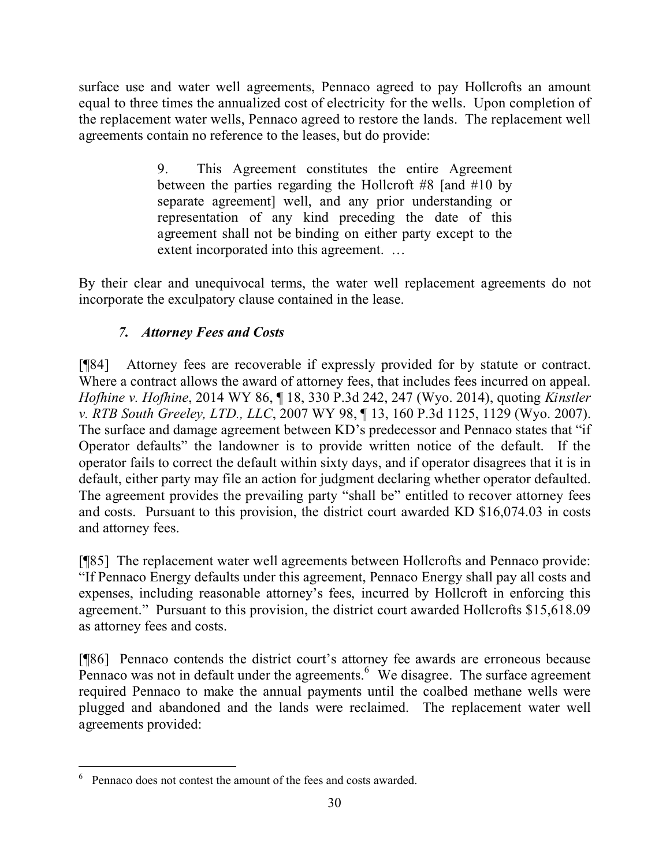surface use and water well agreements, Pennaco agreed to pay Hollcrofts an amount equal to three times the annualized cost of electricity for the wells. Upon completion of the replacement water wells, Pennaco agreed to restore the lands. The replacement well agreements contain no reference to the leases, but do provide:

> 9. This Agreement constitutes the entire Agreement between the parties regarding the Hollcroft #8 [and #10 by separate agreement] well, and any prior understanding or representation of any kind preceding the date of this agreement shall not be binding on either party except to the extent incorporated into this agreement. …

By their clear and unequivocal terms, the water well replacement agreements do not incorporate the exculpatory clause contained in the lease.

# *7. Attorney Fees and Costs*

[¶84] Attorney fees are recoverable if expressly provided for by statute or contract. Where a contract allows the award of attorney fees, that includes fees incurred on appeal. *Hofhine v. Hofhine*, 2014 WY 86, ¶ 18, 330 P.3d 242, 247 (Wyo. 2014), quoting *Kinstler v. RTB South Greeley, LTD., LLC*, 2007 WY 98, ¶ 13, 160 P.3d 1125, 1129 (Wyo. 2007). The surface and damage agreement between KD's predecessor and Pennaco states that "if Operator defaults" the landowner is to provide written notice of the default. If the operator fails to correct the default within sixty days, and if operator disagrees that it is in default, either party may file an action for judgment declaring whether operator defaulted. The agreement provides the prevailing party "shall be" entitled to recover attorney fees and costs. Pursuant to this provision, the district court awarded KD \$16,074.03 in costs and attorney fees.

[¶85] The replacement water well agreements between Hollcrofts and Pennaco provide: "If Pennaco Energy defaults under this agreement, Pennaco Energy shall pay all costs and expenses, including reasonable attorney's fees, incurred by Hollcroft in enforcing this agreement." Pursuant to this provision, the district court awarded Hollcrofts \$15,618.09 as attorney fees and costs.

[¶86] Pennaco contends the district court's attorney fee awards are erroneous because Pennaco was not in default under the agreements.  $6\text{ }\check{W}$ e disagree. The surface agreement required Pennaco to make the annual payments until the coalbed methane wells were plugged and abandoned and the lands were reclaimed. The replacement water well agreements provided:

 $\overline{a}$ <sup>6</sup> Pennaco does not contest the amount of the fees and costs awarded.